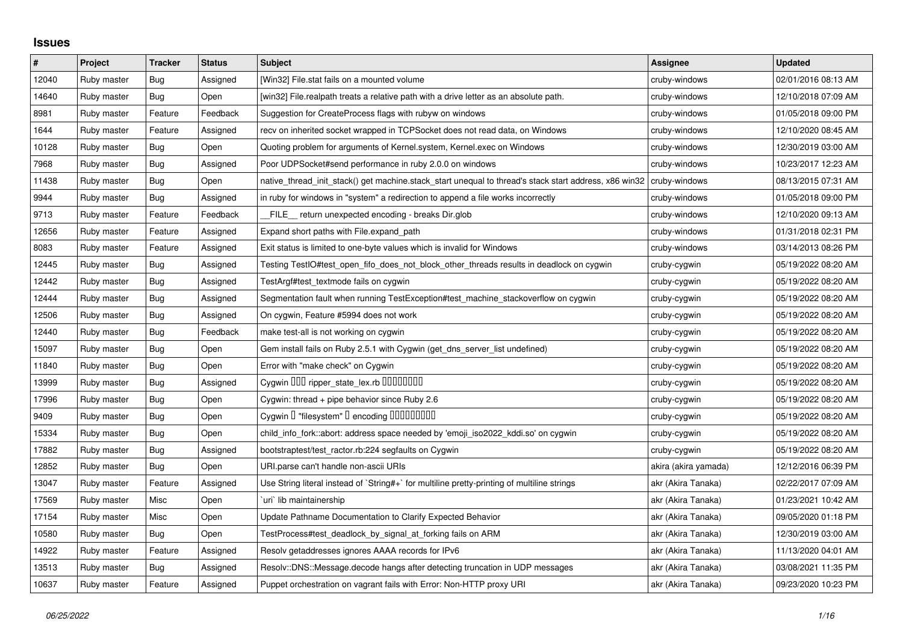## **Issues**

| $\pmb{\#}$ | Project     | <b>Tracker</b> | <b>Status</b> | <b>Subject</b>                                                                                        | Assignee             | <b>Updated</b>      |
|------------|-------------|----------------|---------------|-------------------------------------------------------------------------------------------------------|----------------------|---------------------|
| 12040      | Ruby master | <b>Bug</b>     | Assigned      | [Win32] File.stat fails on a mounted volume                                                           | cruby-windows        | 02/01/2016 08:13 AM |
| 14640      | Ruby master | Bug            | Open          | [win32] File.realpath treats a relative path with a drive letter as an absolute path.                 | cruby-windows        | 12/10/2018 07:09 AM |
| 8981       | Ruby master | Feature        | Feedback      | Suggestion for CreateProcess flags with rubyw on windows                                              | cruby-windows        | 01/05/2018 09:00 PM |
| 1644       | Ruby master | Feature        | Assigned      | recv on inherited socket wrapped in TCPSocket does not read data, on Windows                          | cruby-windows        | 12/10/2020 08:45 AM |
| 10128      | Ruby master | Bug            | Open          | Quoting problem for arguments of Kernel.system, Kernel.exec on Windows                                | cruby-windows        | 12/30/2019 03:00 AM |
| 7968       | Ruby master | Bug            | Assigned      | Poor UDPSocket#send performance in ruby 2.0.0 on windows                                              | cruby-windows        | 10/23/2017 12:23 AM |
| 11438      | Ruby master | <b>Bug</b>     | Open          | native thread init stack() get machine.stack start unequal to thread's stack start address, x86 win32 | cruby-windows        | 08/13/2015 07:31 AM |
| 9944       | Ruby master | Bug            | Assigned      | in ruby for windows in "system" a redirection to append a file works incorrectly                      | cruby-windows        | 01/05/2018 09:00 PM |
| 9713       | Ruby master | Feature        | Feedback      | FILE_ return unexpected encoding - breaks Dir.glob                                                    | cruby-windows        | 12/10/2020 09:13 AM |
| 12656      | Ruby master | Feature        | Assigned      | Expand short paths with File.expand_path                                                              | cruby-windows        | 01/31/2018 02:31 PM |
| 8083       | Ruby master | Feature        | Assigned      | Exit status is limited to one-byte values which is invalid for Windows                                | cruby-windows        | 03/14/2013 08:26 PM |
| 12445      | Ruby master | Bug            | Assigned      | Testing TestIO#test_open_fifo_does_not_block_other_threads results in deadlock on cygwin              | cruby-cygwin         | 05/19/2022 08:20 AM |
| 12442      | Ruby master | <b>Bug</b>     | Assigned      | TestArgf#test_textmode fails on cygwin                                                                | cruby-cygwin         | 05/19/2022 08:20 AM |
| 12444      | Ruby master | Bug            | Assigned      | Segmentation fault when running TestException#test machine stackoverflow on cygwin                    | cruby-cygwin         | 05/19/2022 08:20 AM |
| 12506      | Ruby master | Bug            | Assigned      | On cygwin, Feature #5994 does not work                                                                | cruby-cygwin         | 05/19/2022 08:20 AM |
| 12440      | Ruby master | Bug            | Feedback      | make test-all is not working on cygwin                                                                | cruby-cygwin         | 05/19/2022 08:20 AM |
| 15097      | Ruby master | Bug            | Open          | Gem install fails on Ruby 2.5.1 with Cygwin (get_dns_server_list undefined)                           | cruby-cygwin         | 05/19/2022 08:20 AM |
| 11840      | Ruby master | <b>Bug</b>     | Open          | Error with "make check" on Cygwin                                                                     | cruby-cygwin         | 05/19/2022 08:20 AM |
| 13999      | Ruby master | Bug            | Assigned      | Cygwin DDD ripper_state_lex.rb DDDDDDDD                                                               | cruby-cygwin         | 05/19/2022 08:20 AM |
| 17996      | Ruby master | Bug            | Open          | Cygwin: thread + pipe behavior since Ruby 2.6                                                         | cruby-cygwin         | 05/19/2022 08:20 AM |
| 9409       | Ruby master | <b>Bug</b>     | Open          | Cygwin I "filesystem" I encoding IIIIIIIIIIIII                                                        | cruby-cygwin         | 05/19/2022 08:20 AM |
| 15334      | Ruby master | Bug            | Open          | child_info_fork::abort: address space needed by 'emoji_iso2022_kddi.so' on cygwin                     | cruby-cygwin         | 05/19/2022 08:20 AM |
| 17882      | Ruby master | Bug            | Assigned      | bootstraptest/test_ractor.rb:224 segfaults on Cygwin                                                  | cruby-cygwin         | 05/19/2022 08:20 AM |
| 12852      | Ruby master | Bug            | Open          | URI.parse can't handle non-ascii URIs                                                                 | akira (akira yamada) | 12/12/2016 06:39 PM |
| 13047      | Ruby master | Feature        | Assigned      | Use String literal instead of `String#+` for multiline pretty-printing of multiline strings           | akr (Akira Tanaka)   | 02/22/2017 07:09 AM |
| 17569      | Ruby master | Misc           | Open          | uri lib maintainership                                                                                | akr (Akira Tanaka)   | 01/23/2021 10:42 AM |
| 17154      | Ruby master | Misc           | Open          | Update Pathname Documentation to Clarify Expected Behavior                                            | akr (Akira Tanaka)   | 09/05/2020 01:18 PM |
| 10580      | Ruby master | Bug            | Open          | TestProcess#test deadlock by signal at forking fails on ARM                                           | akr (Akira Tanaka)   | 12/30/2019 03:00 AM |
| 14922      | Ruby master | Feature        | Assigned      | Resolv getaddresses ignores AAAA records for IPv6                                                     | akr (Akira Tanaka)   | 11/13/2020 04:01 AM |
| 13513      | Ruby master | <b>Bug</b>     | Assigned      | Resolv::DNS::Message.decode hangs after detecting truncation in UDP messages                          | akr (Akira Tanaka)   | 03/08/2021 11:35 PM |
| 10637      | Ruby master | Feature        | Assigned      | Puppet orchestration on vagrant fails with Error: Non-HTTP proxy URI                                  | akr (Akira Tanaka)   | 09/23/2020 10:23 PM |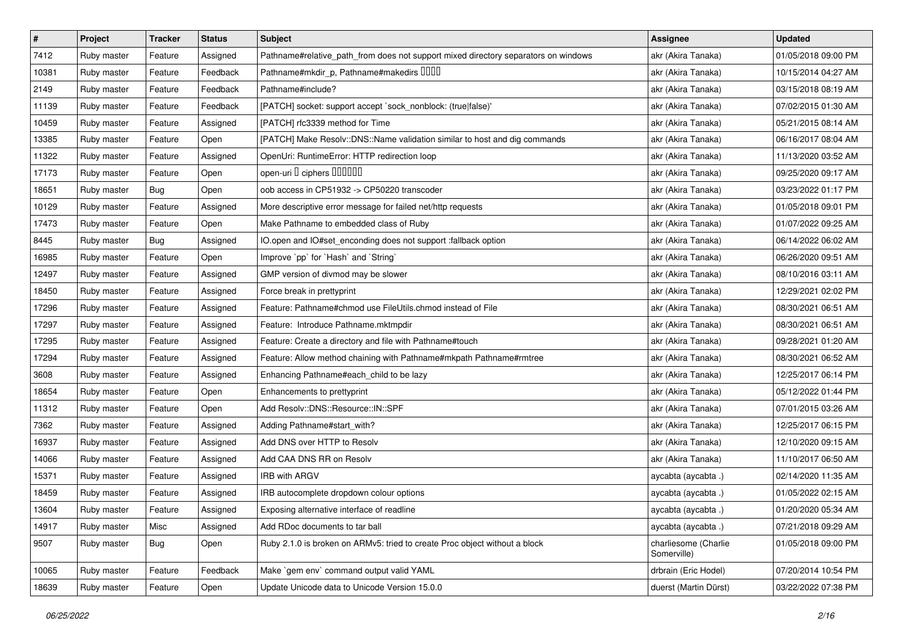| $\vert$ # | Project     | <b>Tracker</b> | <b>Status</b> | <b>Subject</b>                                                                     | Assignee                            | <b>Updated</b>      |
|-----------|-------------|----------------|---------------|------------------------------------------------------------------------------------|-------------------------------------|---------------------|
| 7412      | Ruby master | Feature        | Assigned      | Pathname#relative_path_from does not support mixed directory separators on windows | akr (Akira Tanaka)                  | 01/05/2018 09:00 PM |
| 10381     | Ruby master | Feature        | Feedback      | Pathname#mkdir_p, Pathname#makedirs IIIII                                          | akr (Akira Tanaka)                  | 10/15/2014 04:27 AM |
| 2149      | Ruby master | Feature        | Feedback      | Pathname#include?                                                                  | akr (Akira Tanaka)                  | 03/15/2018 08:19 AM |
| 11139     | Ruby master | Feature        | Feedback      | [PATCH] socket: support accept `sock_nonblock: (true false)'                       | akr (Akira Tanaka)                  | 07/02/2015 01:30 AM |
| 10459     | Ruby master | Feature        | Assigned      | [PATCH] rfc3339 method for Time                                                    | akr (Akira Tanaka)                  | 05/21/2015 08:14 AM |
| 13385     | Ruby master | Feature        | Open          | [PATCH] Make Resolv::DNS::Name validation similar to host and dig commands         | akr (Akira Tanaka)                  | 06/16/2017 08:04 AM |
| 11322     | Ruby master | Feature        | Assigned      | OpenUri: RuntimeError: HTTP redirection loop                                       | akr (Akira Tanaka)                  | 11/13/2020 03:52 AM |
| 17173     | Ruby master | Feature        | Open          | open-uri I ciphers IIIIIII                                                         | akr (Akira Tanaka)                  | 09/25/2020 09:17 AM |
| 18651     | Ruby master | <b>Bug</b>     | Open          | oob access in CP51932 -> CP50220 transcoder                                        | akr (Akira Tanaka)                  | 03/23/2022 01:17 PM |
| 10129     | Ruby master | Feature        | Assigned      | More descriptive error message for failed net/http requests                        | akr (Akira Tanaka)                  | 01/05/2018 09:01 PM |
| 17473     | Ruby master | Feature        | Open          | Make Pathname to embedded class of Ruby                                            | akr (Akira Tanaka)                  | 01/07/2022 09:25 AM |
| 8445      | Ruby master | <b>Bug</b>     | Assigned      | IO.open and IO#set_enconding does not support :fallback option                     | akr (Akira Tanaka)                  | 06/14/2022 06:02 AM |
| 16985     | Ruby master | Feature        | Open          | Improve `pp` for `Hash` and `String`                                               | akr (Akira Tanaka)                  | 06/26/2020 09:51 AM |
| 12497     | Ruby master | Feature        | Assigned      | GMP version of divmod may be slower                                                | akr (Akira Tanaka)                  | 08/10/2016 03:11 AM |
| 18450     | Ruby master | Feature        | Assigned      | Force break in prettyprint                                                         | akr (Akira Tanaka)                  | 12/29/2021 02:02 PM |
| 17296     | Ruby master | Feature        | Assigned      | Feature: Pathname#chmod use FileUtils.chmod instead of File                        | akr (Akira Tanaka)                  | 08/30/2021 06:51 AM |
| 17297     | Ruby master | Feature        | Assigned      | Feature: Introduce Pathname.mktmpdir                                               | akr (Akira Tanaka)                  | 08/30/2021 06:51 AM |
| 17295     | Ruby master | Feature        | Assigned      | Feature: Create a directory and file with Pathname#touch                           | akr (Akira Tanaka)                  | 09/28/2021 01:20 AM |
| 17294     | Ruby master | Feature        | Assigned      | Feature: Allow method chaining with Pathname#mkpath Pathname#rmtree                | akr (Akira Tanaka)                  | 08/30/2021 06:52 AM |
| 3608      | Ruby master | Feature        | Assigned      | Enhancing Pathname#each_child to be lazy                                           | akr (Akira Tanaka)                  | 12/25/2017 06:14 PM |
| 18654     | Ruby master | Feature        | Open          | Enhancements to prettyprint                                                        | akr (Akira Tanaka)                  | 05/12/2022 01:44 PM |
| 11312     | Ruby master | Feature        | Open          | Add Resolv::DNS::Resource::IN::SPF                                                 | akr (Akira Tanaka)                  | 07/01/2015 03:26 AM |
| 7362      | Ruby master | Feature        | Assigned      | Adding Pathname#start_with?                                                        | akr (Akira Tanaka)                  | 12/25/2017 06:15 PM |
| 16937     | Ruby master | Feature        | Assigned      | Add DNS over HTTP to Resolv                                                        | akr (Akira Tanaka)                  | 12/10/2020 09:15 AM |
| 14066     | Ruby master | Feature        | Assigned      | Add CAA DNS RR on Resolv                                                           | akr (Akira Tanaka)                  | 11/10/2017 06:50 AM |
| 15371     | Ruby master | Feature        | Assigned      | IRB with ARGV                                                                      | aycabta (aycabta.)                  | 02/14/2020 11:35 AM |
| 18459     | Ruby master | Feature        | Assigned      | IRB autocomplete dropdown colour options                                           | aycabta (aycabta .)                 | 01/05/2022 02:15 AM |
| 13604     | Ruby master | Feature        | Assigned      | Exposing alternative interface of readline                                         | aycabta (aycabta.)                  | 01/20/2020 05:34 AM |
| 14917     | Ruby master | Misc           | Assigned      | Add RDoc documents to tar ball                                                     | aycabta (aycabta.)                  | 07/21/2018 09:29 AM |
| 9507      | Ruby master | Bug            | Open          | Ruby 2.1.0 is broken on ARMv5: tried to create Proc object without a block         | charliesome (Charlie<br>Somerville) | 01/05/2018 09:00 PM |
| 10065     | Ruby master | Feature        | Feedback      | Make `gem env` command output valid YAML                                           | drbrain (Eric Hodel)                | 07/20/2014 10:54 PM |
| 18639     | Ruby master | Feature        | Open          | Update Unicode data to Unicode Version 15.0.0                                      | duerst (Martin Dürst)               | 03/22/2022 07:38 PM |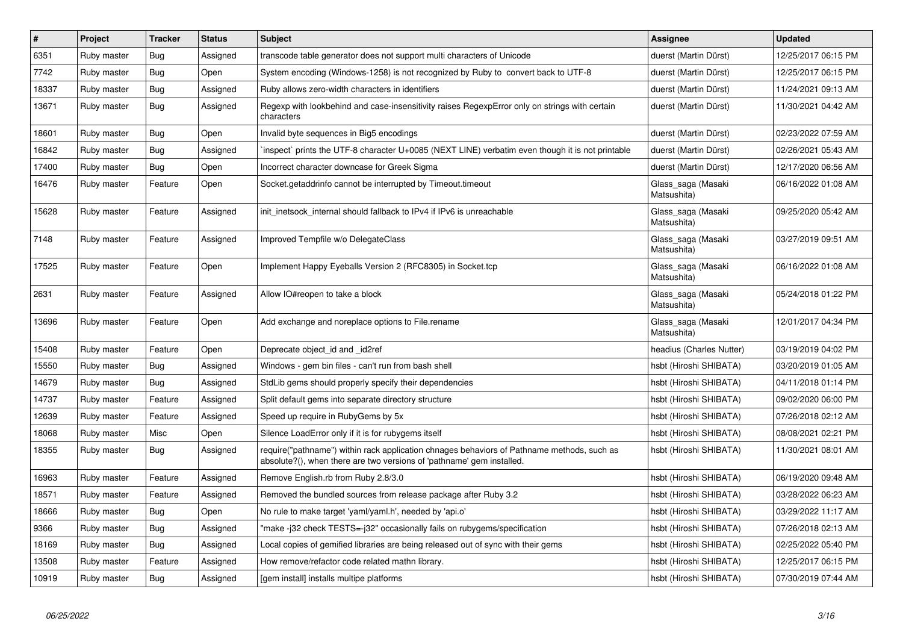| $\vert$ # | Project     | <b>Tracker</b> | <b>Status</b> | <b>Subject</b>                                                                                                                                                      | <b>Assignee</b>                   | <b>Updated</b>      |
|-----------|-------------|----------------|---------------|---------------------------------------------------------------------------------------------------------------------------------------------------------------------|-----------------------------------|---------------------|
| 6351      | Ruby master | <b>Bug</b>     | Assigned      | transcode table generator does not support multi characters of Unicode                                                                                              | duerst (Martin Dürst)             | 12/25/2017 06:15 PM |
| 7742      | Ruby master | Bug            | Open          | System encoding (Windows-1258) is not recognized by Ruby to convert back to UTF-8                                                                                   | duerst (Martin Dürst)             | 12/25/2017 06:15 PM |
| 18337     | Ruby master | <b>Bug</b>     | Assigned      | Ruby allows zero-width characters in identifiers                                                                                                                    | duerst (Martin Dürst)             | 11/24/2021 09:13 AM |
| 13671     | Ruby master | <b>Bug</b>     | Assigned      | Regexp with lookbehind and case-insensitivity raises RegexpError only on strings with certain<br>characters                                                         | duerst (Martin Dürst)             | 11/30/2021 04:42 AM |
| 18601     | Ruby master | Bug            | Open          | Invalid byte sequences in Big5 encodings                                                                                                                            | duerst (Martin Dürst)             | 02/23/2022 07:59 AM |
| 16842     | Ruby master | <b>Bug</b>     | Assigned      | inspect` prints the UTF-8 character U+0085 (NEXT LINE) verbatim even though it is not printable                                                                     | duerst (Martin Dürst)             | 02/26/2021 05:43 AM |
| 17400     | Ruby master | <b>Bug</b>     | Open          | Incorrect character downcase for Greek Sigma                                                                                                                        | duerst (Martin Dürst)             | 12/17/2020 06:56 AM |
| 16476     | Ruby master | Feature        | Open          | Socket getaddrinfo cannot be interrupted by Timeout timeout                                                                                                         | Glass saga (Masaki<br>Matsushita) | 06/16/2022 01:08 AM |
| 15628     | Ruby master | Feature        | Assigned      | init_inetsock_internal should fallback to IPv4 if IPv6 is unreachable                                                                                               | Glass_saga (Masaki<br>Matsushita) | 09/25/2020 05:42 AM |
| 7148      | Ruby master | Feature        | Assigned      | Improved Tempfile w/o DelegateClass                                                                                                                                 | Glass saga (Masaki<br>Matsushita) | 03/27/2019 09:51 AM |
| 17525     | Ruby master | Feature        | Open          | Implement Happy Eyeballs Version 2 (RFC8305) in Socket.tcp                                                                                                          | Glass_saga (Masaki<br>Matsushita) | 06/16/2022 01:08 AM |
| 2631      | Ruby master | Feature        | Assigned      | Allow IO#reopen to take a block                                                                                                                                     | Glass_saga (Masaki<br>Matsushita) | 05/24/2018 01:22 PM |
| 13696     | Ruby master | Feature        | Open          | Add exchange and noreplace options to File.rename                                                                                                                   | Glass saga (Masaki<br>Matsushita) | 12/01/2017 04:34 PM |
| 15408     | Ruby master | Feature        | Open          | Deprecate object_id and _id2ref                                                                                                                                     | headius (Charles Nutter)          | 03/19/2019 04:02 PM |
| 15550     | Ruby master | <b>Bug</b>     | Assigned      | Windows - gem bin files - can't run from bash shell                                                                                                                 | hsbt (Hiroshi SHIBATA)            | 03/20/2019 01:05 AM |
| 14679     | Ruby master | Bug            | Assigned      | StdLib gems should properly specify their dependencies                                                                                                              | hsbt (Hiroshi SHIBATA)            | 04/11/2018 01:14 PM |
| 14737     | Ruby master | Feature        | Assigned      | Split default gems into separate directory structure                                                                                                                | hsbt (Hiroshi SHIBATA)            | 09/02/2020 06:00 PM |
| 12639     | Ruby master | Feature        | Assigned      | Speed up require in RubyGems by 5x                                                                                                                                  | hsbt (Hiroshi SHIBATA)            | 07/26/2018 02:12 AM |
| 18068     | Ruby master | Misc           | Open          | Silence LoadError only if it is for rubygems itself                                                                                                                 | hsbt (Hiroshi SHIBATA)            | 08/08/2021 02:21 PM |
| 18355     | Ruby master | <b>Bug</b>     | Assigned      | require("pathname") within rack application chnages behaviors of Pathname methods, such as<br>absolute?(), when there are two versions of 'pathname' gem installed. | hsbt (Hiroshi SHIBATA)            | 11/30/2021 08:01 AM |
| 16963     | Ruby master | Feature        | Assigned      | Remove English.rb from Ruby 2.8/3.0                                                                                                                                 | hsbt (Hiroshi SHIBATA)            | 06/19/2020 09:48 AM |
| 18571     | Ruby master | Feature        | Assigned      | Removed the bundled sources from release package after Ruby 3.2                                                                                                     | hsbt (Hiroshi SHIBATA)            | 03/28/2022 06:23 AM |
| 18666     | Ruby master | Bug            | Open          | No rule to make target 'yaml/yaml.h', needed by 'api.o'                                                                                                             | hsbt (Hiroshi SHIBATA)            | 03/29/2022 11:17 AM |
| 9366      | Ruby master | Bug            | Assigned      | 'make -j32 check TESTS=-j32" occasionally fails on rubygems/specification                                                                                           | hsbt (Hiroshi SHIBATA)            | 07/26/2018 02:13 AM |
| 18169     | Ruby master | Bug            | Assigned      | Local copies of gemified libraries are being released out of sync with their gems                                                                                   | hsbt (Hiroshi SHIBATA)            | 02/25/2022 05:40 PM |
| 13508     | Ruby master | Feature        | Assigned      | How remove/refactor code related mathn library.                                                                                                                     | hsbt (Hiroshi SHIBATA)            | 12/25/2017 06:15 PM |
| 10919     | Ruby master | Bug            | Assigned      | [gem install] installs multipe platforms                                                                                                                            | hsbt (Hiroshi SHIBATA)            | 07/30/2019 07:44 AM |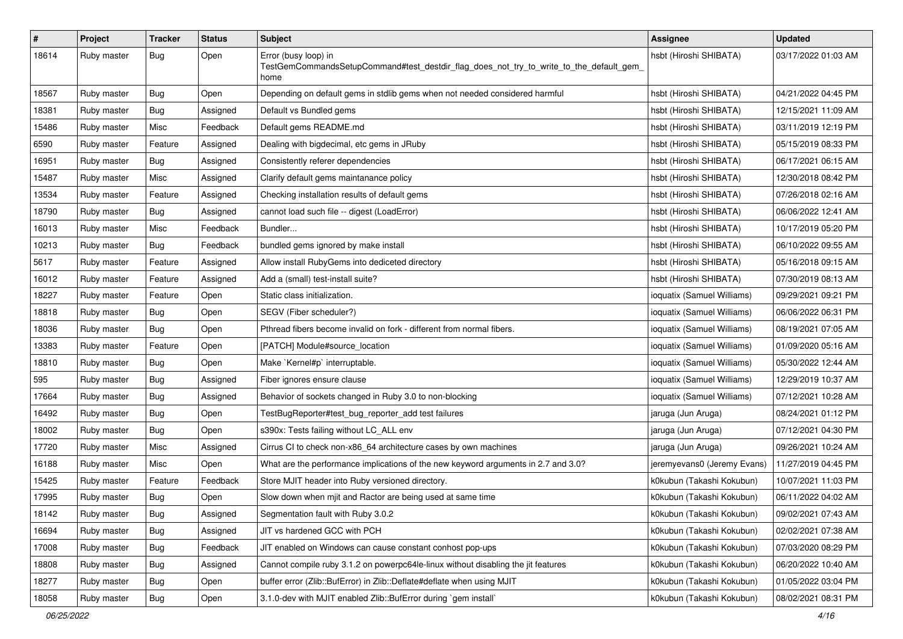| $\#$  | Project     | <b>Tracker</b> | <b>Status</b> | <b>Subject</b>                                                                                                          | <b>Assignee</b>             | <b>Updated</b>      |
|-------|-------------|----------------|---------------|-------------------------------------------------------------------------------------------------------------------------|-----------------------------|---------------------|
| 18614 | Ruby master | <b>Bug</b>     | Open          | Error (busy loop) in<br>TestGemCommandsSetupCommand#test_destdir_flag_does_not_try_to_write_to_the_default_gem_<br>home | hsbt (Hiroshi SHIBATA)      | 03/17/2022 01:03 AM |
| 18567 | Ruby master | <b>Bug</b>     | Open          | Depending on default gems in stdlib gems when not needed considered harmful                                             | hsbt (Hiroshi SHIBATA)      | 04/21/2022 04:45 PM |
| 18381 | Ruby master | Bug            | Assigned      | Default vs Bundled gems                                                                                                 | hsbt (Hiroshi SHIBATA)      | 12/15/2021 11:09 AM |
| 15486 | Ruby master | Misc           | Feedback      | Default gems README.md                                                                                                  | hsbt (Hiroshi SHIBATA)      | 03/11/2019 12:19 PM |
| 6590  | Ruby master | Feature        | Assigned      | Dealing with bigdecimal, etc gems in JRuby                                                                              | hsbt (Hiroshi SHIBATA)      | 05/15/2019 08:33 PM |
| 16951 | Ruby master | Bug            | Assigned      | Consistently referer dependencies                                                                                       | hsbt (Hiroshi SHIBATA)      | 06/17/2021 06:15 AM |
| 15487 | Ruby master | Misc           | Assigned      | Clarify default gems maintanance policy                                                                                 | hsbt (Hiroshi SHIBATA)      | 12/30/2018 08:42 PM |
| 13534 | Ruby master | Feature        | Assigned      | Checking installation results of default gems                                                                           | hsbt (Hiroshi SHIBATA)      | 07/26/2018 02:16 AM |
| 18790 | Ruby master | <b>Bug</b>     | Assigned      | cannot load such file -- digest (LoadError)                                                                             | hsbt (Hiroshi SHIBATA)      | 06/06/2022 12:41 AM |
| 16013 | Ruby master | Misc           | Feedback      | Bundler                                                                                                                 | hsbt (Hiroshi SHIBATA)      | 10/17/2019 05:20 PM |
| 10213 | Ruby master | Bug            | Feedback      | bundled gems ignored by make install                                                                                    | hsbt (Hiroshi SHIBATA)      | 06/10/2022 09:55 AM |
| 5617  | Ruby master | Feature        | Assigned      | Allow install RubyGems into dediceted directory                                                                         | hsbt (Hiroshi SHIBATA)      | 05/16/2018 09:15 AM |
| 16012 | Ruby master | Feature        | Assigned      | Add a (small) test-install suite?                                                                                       | hsbt (Hiroshi SHIBATA)      | 07/30/2019 08:13 AM |
| 18227 | Ruby master | Feature        | Open          | Static class initialization.                                                                                            | ioquatix (Samuel Williams)  | 09/29/2021 09:21 PM |
| 18818 | Ruby master | <b>Bug</b>     | Open          | SEGV (Fiber scheduler?)                                                                                                 | ioquatix (Samuel Williams)  | 06/06/2022 06:31 PM |
| 18036 | Ruby master | <b>Bug</b>     | Open          | Pthread fibers become invalid on fork - different from normal fibers.                                                   | ioquatix (Samuel Williams)  | 08/19/2021 07:05 AM |
| 13383 | Ruby master | Feature        | Open          | [PATCH] Module#source_location                                                                                          | ioquatix (Samuel Williams)  | 01/09/2020 05:16 AM |
| 18810 | Ruby master | <b>Bug</b>     | Open          | Make `Kernel#p` interruptable.                                                                                          | ioquatix (Samuel Williams)  | 05/30/2022 12:44 AM |
| 595   | Ruby master | <b>Bug</b>     | Assigned      | Fiber ignores ensure clause                                                                                             | ioquatix (Samuel Williams)  | 12/29/2019 10:37 AM |
| 17664 | Ruby master | <b>Bug</b>     | Assigned      | Behavior of sockets changed in Ruby 3.0 to non-blocking                                                                 | ioquatix (Samuel Williams)  | 07/12/2021 10:28 AM |
| 16492 | Ruby master | Bug            | Open          | TestBugReporter#test_bug_reporter_add test failures                                                                     | jaruga (Jun Aruga)          | 08/24/2021 01:12 PM |
| 18002 | Ruby master | <b>Bug</b>     | Open          | s390x: Tests failing without LC_ALL env                                                                                 | jaruga (Jun Aruga)          | 07/12/2021 04:30 PM |
| 17720 | Ruby master | Misc           | Assigned      | Cirrus CI to check non-x86_64 architecture cases by own machines                                                        | jaruga (Jun Aruga)          | 09/26/2021 10:24 AM |
| 16188 | Ruby master | Misc           | Open          | What are the performance implications of the new keyword arguments in 2.7 and 3.0?                                      | jeremyevans0 (Jeremy Evans) | 11/27/2019 04:45 PM |
| 15425 | Ruby master | Feature        | Feedback      | Store MJIT header into Ruby versioned directory.                                                                        | k0kubun (Takashi Kokubun)   | 10/07/2021 11:03 PM |
| 17995 | Ruby master | <b>Bug</b>     | Open          | Slow down when mjit and Ractor are being used at same time                                                              | k0kubun (Takashi Kokubun)   | 06/11/2022 04:02 AM |
| 18142 | Ruby master | Bug            | Assigned      | Segmentation fault with Ruby 3.0.2                                                                                      | k0kubun (Takashi Kokubun)   | 09/02/2021 07:43 AM |
| 16694 | Ruby master | <b>Bug</b>     | Assigned      | JIT vs hardened GCC with PCH                                                                                            | k0kubun (Takashi Kokubun)   | 02/02/2021 07:38 AM |
| 17008 | Ruby master | Bug            | Feedback      | JIT enabled on Windows can cause constant conhost pop-ups                                                               | k0kubun (Takashi Kokubun)   | 07/03/2020 08:29 PM |
| 18808 | Ruby master | <b>Bug</b>     | Assigned      | Cannot compile ruby 3.1.2 on powerpc64le-linux without disabling the jit features                                       | k0kubun (Takashi Kokubun)   | 06/20/2022 10:40 AM |
| 18277 | Ruby master | <b>Bug</b>     | Open          | buffer error (Zlib::BufError) in Zlib::Deflate#deflate when using MJIT                                                  | k0kubun (Takashi Kokubun)   | 01/05/2022 03:04 PM |
| 18058 | Ruby master | <b>Bug</b>     | Open          | 3.1.0-dev with MJIT enabled Zlib::BufError during `gem install`                                                         | k0kubun (Takashi Kokubun)   | 08/02/2021 08:31 PM |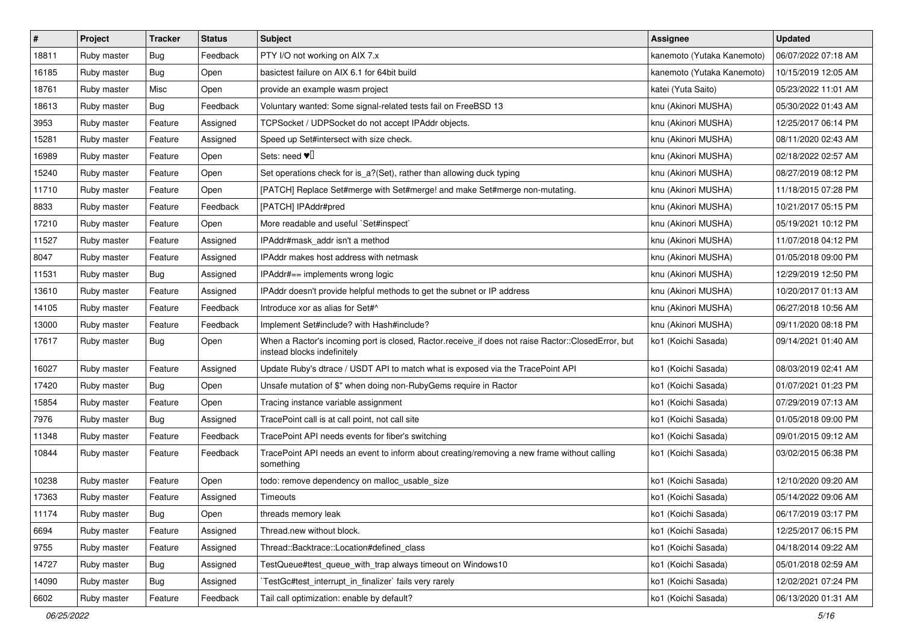| #     | Project     | <b>Tracker</b> | <b>Status</b> | <b>Subject</b>                                                                                                                    | <b>Assignee</b>            | <b>Updated</b>      |
|-------|-------------|----------------|---------------|-----------------------------------------------------------------------------------------------------------------------------------|----------------------------|---------------------|
| 18811 | Ruby master | Bug            | Feedback      | PTY I/O not working on AIX 7.x                                                                                                    | kanemoto (Yutaka Kanemoto) | 06/07/2022 07:18 AM |
| 16185 | Ruby master | Bug            | Open          | basictest failure on AIX 6.1 for 64bit build                                                                                      | kanemoto (Yutaka Kanemoto) | 10/15/2019 12:05 AM |
| 18761 | Ruby master | Misc           | Open          | provide an example wasm project                                                                                                   | katei (Yuta Saito)         | 05/23/2022 11:01 AM |
| 18613 | Ruby master | Bug            | Feedback      | Voluntary wanted: Some signal-related tests fail on FreeBSD 13                                                                    | knu (Akinori MUSHA)        | 05/30/2022 01:43 AM |
| 3953  | Ruby master | Feature        | Assigned      | TCPSocket / UDPSocket do not accept IPAddr objects.                                                                               | knu (Akinori MUSHA)        | 12/25/2017 06:14 PM |
| 15281 | Ruby master | Feature        | Assigned      | Speed up Set#intersect with size check.                                                                                           | knu (Akinori MUSHA)        | 08/11/2020 02:43 AM |
| 16989 | Ruby master | Feature        | Open          | Sets: need $\Psi$                                                                                                                 | knu (Akinori MUSHA)        | 02/18/2022 02:57 AM |
| 15240 | Ruby master | Feature        | Open          | Set operations check for is_a?(Set), rather than allowing duck typing                                                             | knu (Akinori MUSHA)        | 08/27/2019 08:12 PM |
| 11710 | Ruby master | Feature        | Open          | [PATCH] Replace Set#merge with Set#merge! and make Set#merge non-mutating.                                                        | knu (Akinori MUSHA)        | 11/18/2015 07:28 PM |
| 8833  | Ruby master | Feature        | Feedback      | [PATCH] IPAddr#pred                                                                                                               | knu (Akinori MUSHA)        | 10/21/2017 05:15 PM |
| 17210 | Ruby master | Feature        | Open          | More readable and useful `Set#inspect`                                                                                            | knu (Akinori MUSHA)        | 05/19/2021 10:12 PM |
| 11527 | Ruby master | Feature        | Assigned      | IPAddr#mask_addr isn't a method                                                                                                   | knu (Akinori MUSHA)        | 11/07/2018 04:12 PM |
| 8047  | Ruby master | Feature        | Assigned      | IPAddr makes host address with netmask                                                                                            | knu (Akinori MUSHA)        | 01/05/2018 09:00 PM |
| 11531 | Ruby master | <b>Bug</b>     | Assigned      | IPAddr#== implements wrong logic                                                                                                  | knu (Akinori MUSHA)        | 12/29/2019 12:50 PM |
| 13610 | Ruby master | Feature        | Assigned      | IPAddr doesn't provide helpful methods to get the subnet or IP address                                                            | knu (Akinori MUSHA)        | 10/20/2017 01:13 AM |
| 14105 | Ruby master | Feature        | Feedback      | Introduce xor as alias for Set#^                                                                                                  | knu (Akinori MUSHA)        | 06/27/2018 10:56 AM |
| 13000 | Ruby master | Feature        | Feedback      | Implement Set#include? with Hash#include?                                                                                         | knu (Akinori MUSHA)        | 09/11/2020 08:18 PM |
| 17617 | Ruby master | Bug            | Open          | When a Ractor's incoming port is closed, Ractor.receive_if does not raise Ractor::ClosedError, but<br>instead blocks indefinitely | ko1 (Koichi Sasada)        | 09/14/2021 01:40 AM |
| 16027 | Ruby master | Feature        | Assigned      | Update Ruby's dtrace / USDT API to match what is exposed via the TracePoint API                                                   | ko1 (Koichi Sasada)        | 08/03/2019 02:41 AM |
| 17420 | Ruby master | Bug            | Open          | Unsafe mutation of \$" when doing non-RubyGems require in Ractor                                                                  | ko1 (Koichi Sasada)        | 01/07/2021 01:23 PM |
| 15854 | Ruby master | Feature        | Open          | Tracing instance variable assignment                                                                                              | ko1 (Koichi Sasada)        | 07/29/2019 07:13 AM |
| 7976  | Ruby master | <b>Bug</b>     | Assigned      | TracePoint call is at call point, not call site                                                                                   | ko1 (Koichi Sasada)        | 01/05/2018 09:00 PM |
| 11348 | Ruby master | Feature        | Feedback      | TracePoint API needs events for fiber's switching                                                                                 | ko1 (Koichi Sasada)        | 09/01/2015 09:12 AM |
| 10844 | Ruby master | Feature        | Feedback      | TracePoint API needs an event to inform about creating/removing a new frame without calling<br>something                          | ko1 (Koichi Sasada)        | 03/02/2015 06:38 PM |
| 10238 | Ruby master | Feature        | Open          | todo: remove dependency on malloc_usable_size                                                                                     | ko1 (Koichi Sasada)        | 12/10/2020 09:20 AM |
| 17363 | Ruby master | Feature        | Assigned      | Timeouts                                                                                                                          | ko1 (Koichi Sasada)        | 05/14/2022 09:06 AM |
| 11174 | Ruby master | <b>Bug</b>     | Open          | threads memory leak                                                                                                               | ko1 (Koichi Sasada)        | 06/17/2019 03:17 PM |
| 6694  | Ruby master | Feature        | Assigned      | Thread.new without block.                                                                                                         | ko1 (Koichi Sasada)        | 12/25/2017 06:15 PM |
| 9755  | Ruby master | Feature        | Assigned      | Thread::Backtrace::Location#defined_class                                                                                         | ko1 (Koichi Sasada)        | 04/18/2014 09:22 AM |
| 14727 | Ruby master | <b>Bug</b>     | Assigned      | TestQueue#test queue with trap always timeout on Windows10                                                                        | ko1 (Koichi Sasada)        | 05/01/2018 02:59 AM |
| 14090 | Ruby master | <b>Bug</b>     | Assigned      | TestGc#test_interrupt_in_finalizer` fails very rarely                                                                             | ko1 (Koichi Sasada)        | 12/02/2021 07:24 PM |
| 6602  | Ruby master | Feature        | Feedback      | Tail call optimization: enable by default?                                                                                        | ko1 (Koichi Sasada)        | 06/13/2020 01:31 AM |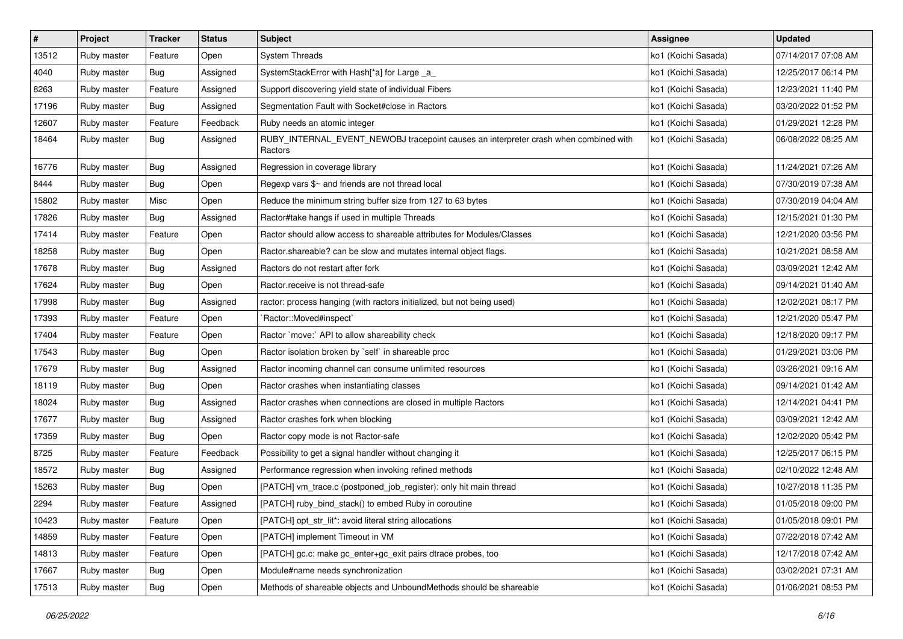| $\vert$ # | Project     | <b>Tracker</b> | <b>Status</b> | <b>Subject</b>                                                                                  | <b>Assignee</b>     | <b>Updated</b>      |
|-----------|-------------|----------------|---------------|-------------------------------------------------------------------------------------------------|---------------------|---------------------|
| 13512     | Ruby master | Feature        | Open          | <b>System Threads</b>                                                                           | ko1 (Koichi Sasada) | 07/14/2017 07:08 AM |
| 4040      | Ruby master | Bug            | Assigned      | SystemStackError with Hash[*a] for Large _a_                                                    | ko1 (Koichi Sasada) | 12/25/2017 06:14 PM |
| 8263      | Ruby master | Feature        | Assigned      | Support discovering yield state of individual Fibers                                            | ko1 (Koichi Sasada) | 12/23/2021 11:40 PM |
| 17196     | Ruby master | <b>Bug</b>     | Assigned      | Segmentation Fault with Socket#close in Ractors                                                 | ko1 (Koichi Sasada) | 03/20/2022 01:52 PM |
| 12607     | Ruby master | Feature        | Feedback      | Ruby needs an atomic integer                                                                    | ko1 (Koichi Sasada) | 01/29/2021 12:28 PM |
| 18464     | Ruby master | Bug            | Assigned      | RUBY_INTERNAL_EVENT_NEWOBJ tracepoint causes an interpreter crash when combined with<br>Ractors | ko1 (Koichi Sasada) | 06/08/2022 08:25 AM |
| 16776     | Ruby master | Bug            | Assigned      | Regression in coverage library                                                                  | ko1 (Koichi Sasada) | 11/24/2021 07:26 AM |
| 8444      | Ruby master | Bug            | Open          | Regexp vars \$~ and friends are not thread local                                                | ko1 (Koichi Sasada) | 07/30/2019 07:38 AM |
| 15802     | Ruby master | Misc           | Open          | Reduce the minimum string buffer size from 127 to 63 bytes                                      | ko1 (Koichi Sasada) | 07/30/2019 04:04 AM |
| 17826     | Ruby master | Bug            | Assigned      | Ractor#take hangs if used in multiple Threads                                                   | ko1 (Koichi Sasada) | 12/15/2021 01:30 PM |
| 17414     | Ruby master | Feature        | Open          | Ractor should allow access to shareable attributes for Modules/Classes                          | ko1 (Koichi Sasada) | 12/21/2020 03:56 PM |
| 18258     | Ruby master | <b>Bug</b>     | Open          | Ractor shareable? can be slow and mutates internal object flags.                                | ko1 (Koichi Sasada) | 10/21/2021 08:58 AM |
| 17678     | Ruby master | <b>Bug</b>     | Assigned      | Ractors do not restart after fork                                                               | ko1 (Koichi Sasada) | 03/09/2021 12:42 AM |
| 17624     | Ruby master | Bug            | Open          | Ractor.receive is not thread-safe                                                               | ko1 (Koichi Sasada) | 09/14/2021 01:40 AM |
| 17998     | Ruby master | Bug            | Assigned      | ractor: process hanging (with ractors initialized, but not being used)                          | ko1 (Koichi Sasada) | 12/02/2021 08:17 PM |
| 17393     | Ruby master | Feature        | Open          | `Ractor::Moved#inspect`                                                                         | ko1 (Koichi Sasada) | 12/21/2020 05:47 PM |
| 17404     | Ruby master | Feature        | Open          | Ractor `move:` API to allow shareability check                                                  | ko1 (Koichi Sasada) | 12/18/2020 09:17 PM |
| 17543     | Ruby master | Bug            | Open          | Ractor isolation broken by 'self' in shareable proc                                             | ko1 (Koichi Sasada) | 01/29/2021 03:06 PM |
| 17679     | Ruby master | Bug            | Assigned      | Ractor incoming channel can consume unlimited resources                                         | ko1 (Koichi Sasada) | 03/26/2021 09:16 AM |
| 18119     | Ruby master | Bug            | Open          | Ractor crashes when instantiating classes                                                       | ko1 (Koichi Sasada) | 09/14/2021 01:42 AM |
| 18024     | Ruby master | Bug            | Assigned      | Ractor crashes when connections are closed in multiple Ractors                                  | ko1 (Koichi Sasada) | 12/14/2021 04:41 PM |
| 17677     | Ruby master | Bug            | Assigned      | Ractor crashes fork when blocking                                                               | ko1 (Koichi Sasada) | 03/09/2021 12:42 AM |
| 17359     | Ruby master | <b>Bug</b>     | Open          | Ractor copy mode is not Ractor-safe                                                             | ko1 (Koichi Sasada) | 12/02/2020 05:42 PM |
| 8725      | Ruby master | Feature        | Feedback      | Possibility to get a signal handler without changing it                                         | ko1 (Koichi Sasada) | 12/25/2017 06:15 PM |
| 18572     | Ruby master | Bug            | Assigned      | Performance regression when invoking refined methods                                            | ko1 (Koichi Sasada) | 02/10/2022 12:48 AM |
| 15263     | Ruby master | Bug            | Open          | [PATCH] vm_trace.c (postponed_job_register): only hit main thread                               | ko1 (Koichi Sasada) | 10/27/2018 11:35 PM |
| 2294      | Ruby master | Feature        | Assigned      | [PATCH] ruby_bind_stack() to embed Ruby in coroutine                                            | ko1 (Koichi Sasada) | 01/05/2018 09:00 PM |
| 10423     | Ruby master | Feature        | Open          | [PATCH] opt_str_lit*: avoid literal string allocations                                          | ko1 (Koichi Sasada) | 01/05/2018 09:01 PM |
| 14859     | Ruby master | Feature        | Open          | [PATCH] implement Timeout in VM                                                                 | ko1 (Koichi Sasada) | 07/22/2018 07:42 AM |
| 14813     | Ruby master | Feature        | Open          | [PATCH] gc.c: make gc_enter+gc_exit pairs dtrace probes, too                                    | ko1 (Koichi Sasada) | 12/17/2018 07:42 AM |
| 17667     | Ruby master | Bug            | Open          | Module#name needs synchronization                                                               | ko1 (Koichi Sasada) | 03/02/2021 07:31 AM |
| 17513     | Ruby master | <b>Bug</b>     | Open          | Methods of shareable objects and UnboundMethods should be shareable                             | ko1 (Koichi Sasada) | 01/06/2021 08:53 PM |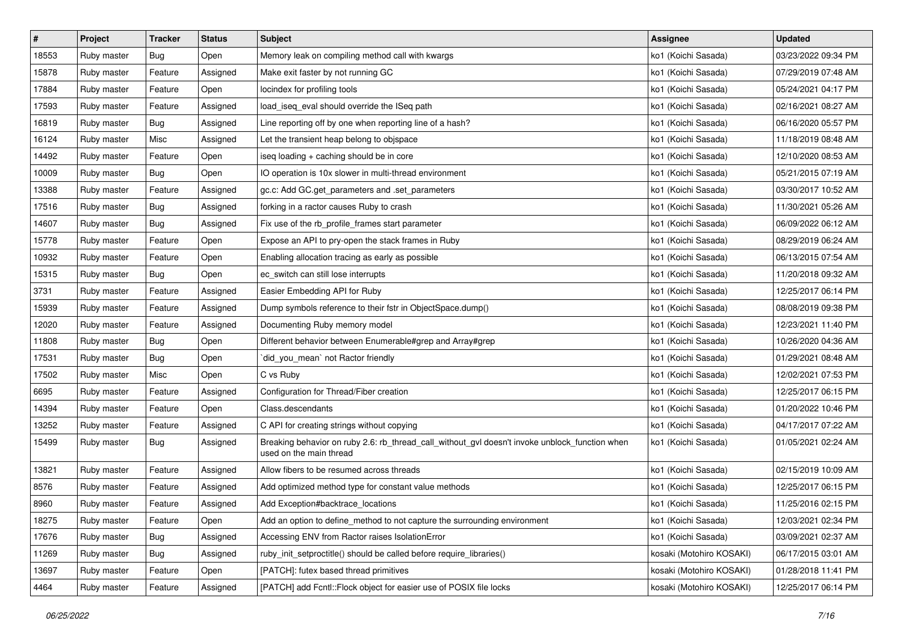| $\pmb{\#}$ | Project     | <b>Tracker</b> | <b>Status</b> | <b>Subject</b>                                                                                                            | <b>Assignee</b>          | <b>Updated</b>      |
|------------|-------------|----------------|---------------|---------------------------------------------------------------------------------------------------------------------------|--------------------------|---------------------|
| 18553      | Ruby master | <b>Bug</b>     | Open          | Memory leak on compiling method call with kwargs                                                                          | ko1 (Koichi Sasada)      | 03/23/2022 09:34 PM |
| 15878      | Ruby master | Feature        | Assigned      | Make exit faster by not running GC                                                                                        | ko1 (Koichi Sasada)      | 07/29/2019 07:48 AM |
| 17884      | Ruby master | Feature        | Open          | locindex for profiling tools                                                                                              | ko1 (Koichi Sasada)      | 05/24/2021 04:17 PM |
| 17593      | Ruby master | Feature        | Assigned      | load_iseq_eval should override the ISeq path                                                                              | ko1 (Koichi Sasada)      | 02/16/2021 08:27 AM |
| 16819      | Ruby master | Bug            | Assigned      | Line reporting off by one when reporting line of a hash?                                                                  | ko1 (Koichi Sasada)      | 06/16/2020 05:57 PM |
| 16124      | Ruby master | Misc           | Assigned      | Let the transient heap belong to objspace                                                                                 | ko1 (Koichi Sasada)      | 11/18/2019 08:48 AM |
| 14492      | Ruby master | Feature        | Open          | iseq loading + caching should be in core                                                                                  | ko1 (Koichi Sasada)      | 12/10/2020 08:53 AM |
| 10009      | Ruby master | Bug            | Open          | IO operation is 10x slower in multi-thread environment                                                                    | ko1 (Koichi Sasada)      | 05/21/2015 07:19 AM |
| 13388      | Ruby master | Feature        | Assigned      | gc.c: Add GC.get_parameters and .set_parameters                                                                           | ko1 (Koichi Sasada)      | 03/30/2017 10:52 AM |
| 17516      | Ruby master | Bug            | Assigned      | forking in a ractor causes Ruby to crash                                                                                  | ko1 (Koichi Sasada)      | 11/30/2021 05:26 AM |
| 14607      | Ruby master | <b>Bug</b>     | Assigned      | Fix use of the rb_profile_frames start parameter                                                                          | ko1 (Koichi Sasada)      | 06/09/2022 06:12 AM |
| 15778      | Ruby master | Feature        | Open          | Expose an API to pry-open the stack frames in Ruby                                                                        | ko1 (Koichi Sasada)      | 08/29/2019 06:24 AM |
| 10932      | Ruby master | Feature        | Open          | Enabling allocation tracing as early as possible                                                                          | ko1 (Koichi Sasada)      | 06/13/2015 07:54 AM |
| 15315      | Ruby master | <b>Bug</b>     | Open          | ec_switch can still lose interrupts                                                                                       | ko1 (Koichi Sasada)      | 11/20/2018 09:32 AM |
| 3731       | Ruby master | Feature        | Assigned      | Easier Embedding API for Ruby                                                                                             | ko1 (Koichi Sasada)      | 12/25/2017 06:14 PM |
| 15939      | Ruby master | Feature        | Assigned      | Dump symbols reference to their fstr in ObjectSpace.dump()                                                                | ko1 (Koichi Sasada)      | 08/08/2019 09:38 PM |
| 12020      | Ruby master | Feature        | Assigned      | Documenting Ruby memory model                                                                                             | ko1 (Koichi Sasada)      | 12/23/2021 11:40 PM |
| 11808      | Ruby master | Bug            | Open          | Different behavior between Enumerable#grep and Array#grep                                                                 | ko1 (Koichi Sasada)      | 10/26/2020 04:36 AM |
| 17531      | Ruby master | <b>Bug</b>     | Open          | did_you_mean` not Ractor friendly                                                                                         | ko1 (Koichi Sasada)      | 01/29/2021 08:48 AM |
| 17502      | Ruby master | Misc           | Open          | C vs Ruby                                                                                                                 | ko1 (Koichi Sasada)      | 12/02/2021 07:53 PM |
| 6695       | Ruby master | Feature        | Assigned      | Configuration for Thread/Fiber creation                                                                                   | ko1 (Koichi Sasada)      | 12/25/2017 06:15 PM |
| 14394      | Ruby master | Feature        | Open          | Class.descendants                                                                                                         | ko1 (Koichi Sasada)      | 01/20/2022 10:46 PM |
| 13252      | Ruby master | Feature        | Assigned      | C API for creating strings without copying                                                                                | ko1 (Koichi Sasada)      | 04/17/2017 07:22 AM |
| 15499      | Ruby master | <b>Bug</b>     | Assigned      | Breaking behavior on ruby 2.6: rb_thread_call_without_gvl doesn't invoke unblock_function when<br>used on the main thread | ko1 (Koichi Sasada)      | 01/05/2021 02:24 AM |
| 13821      | Ruby master | Feature        | Assigned      | Allow fibers to be resumed across threads                                                                                 | ko1 (Koichi Sasada)      | 02/15/2019 10:09 AM |
| 8576       | Ruby master | Feature        | Assigned      | Add optimized method type for constant value methods                                                                      | ko1 (Koichi Sasada)      | 12/25/2017 06:15 PM |
| 8960       | Ruby master | Feature        | Assigned      | Add Exception#backtrace_locations                                                                                         | ko1 (Koichi Sasada)      | 11/25/2016 02:15 PM |
| 18275      | Ruby master | Feature        | Open          | Add an option to define method to not capture the surrounding environment                                                 | ko1 (Koichi Sasada)      | 12/03/2021 02:34 PM |
| 17676      | Ruby master | <b>Bug</b>     | Assigned      | Accessing ENV from Ractor raises IsolationError                                                                           | ko1 (Koichi Sasada)      | 03/09/2021 02:37 AM |
| 11269      | Ruby master | Bug            | Assigned      | ruby_init_setproctitle() should be called before require_libraries()                                                      | kosaki (Motohiro KOSAKI) | 06/17/2015 03:01 AM |
| 13697      | Ruby master | Feature        | Open          | [PATCH]: futex based thread primitives                                                                                    | kosaki (Motohiro KOSAKI) | 01/28/2018 11:41 PM |
| 4464       | Ruby master | Feature        | Assigned      | [PATCH] add Fcntl::Flock object for easier use of POSIX file locks                                                        | kosaki (Motohiro KOSAKI) | 12/25/2017 06:14 PM |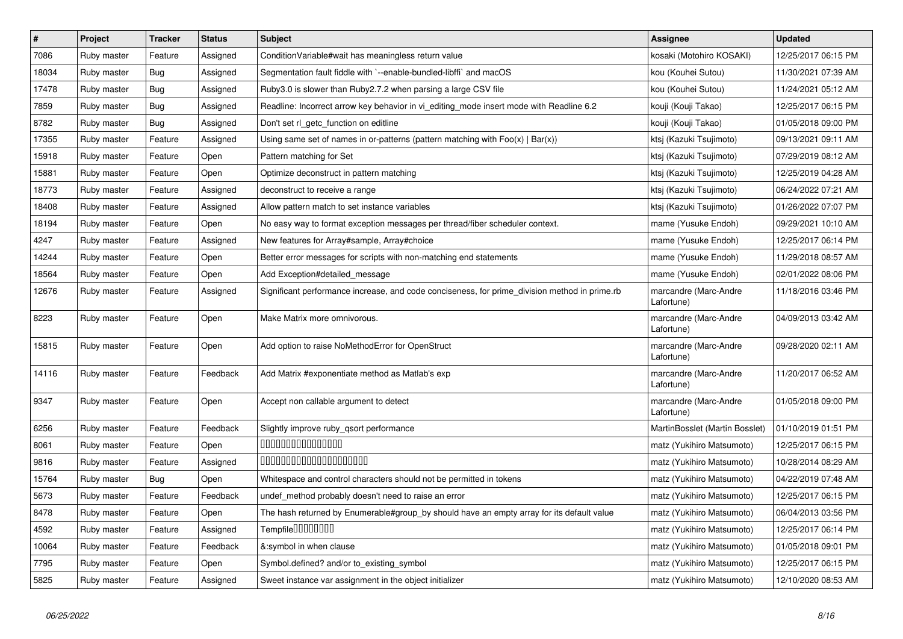| $\vert$ # | Project     | <b>Tracker</b> | <b>Status</b> | <b>Subject</b>                                                                                | <b>Assignee</b>                     | <b>Updated</b>      |
|-----------|-------------|----------------|---------------|-----------------------------------------------------------------------------------------------|-------------------------------------|---------------------|
| 7086      | Ruby master | Feature        | Assigned      | Condition Variable#wait has meaningless return value                                          | kosaki (Motohiro KOSAKI)            | 12/25/2017 06:15 PM |
| 18034     | Ruby master | Bug            | Assigned      | Segmentation fault fiddle with `--enable-bundled-libffi` and macOS                            | kou (Kouhei Sutou)                  | 11/30/2021 07:39 AM |
| 17478     | Ruby master | Bug            | Assigned      | Ruby3.0 is slower than Ruby2.7.2 when parsing a large CSV file                                | kou (Kouhei Sutou)                  | 11/24/2021 05:12 AM |
| 7859      | Ruby master | <b>Bug</b>     | Assigned      | Readline: Incorrect arrow key behavior in vi_editing_mode insert mode with Readline 6.2       | kouji (Kouji Takao)                 | 12/25/2017 06:15 PM |
| 8782      | Ruby master | <b>Bug</b>     | Assigned      | Don't set rl_getc_function on editline                                                        | kouji (Kouji Takao)                 | 01/05/2018 09:00 PM |
| 17355     | Ruby master | Feature        | Assigned      | Using same set of names in or-patterns (pattern matching with $Foo(x)   Bar(x)$ )             | ktsj (Kazuki Tsujimoto)             | 09/13/2021 09:11 AM |
| 15918     | Ruby master | Feature        | Open          | Pattern matching for Set                                                                      | ktsj (Kazuki Tsujimoto)             | 07/29/2019 08:12 AM |
| 15881     | Ruby master | Feature        | Open          | Optimize deconstruct in pattern matching                                                      | ktsj (Kazuki Tsujimoto)             | 12/25/2019 04:28 AM |
| 18773     | Ruby master | Feature        | Assigned      | deconstruct to receive a range                                                                | ktsj (Kazuki Tsujimoto)             | 06/24/2022 07:21 AM |
| 18408     | Ruby master | Feature        | Assigned      | Allow pattern match to set instance variables                                                 | ktsj (Kazuki Tsujimoto)             | 01/26/2022 07:07 PM |
| 18194     | Ruby master | Feature        | Open          | No easy way to format exception messages per thread/fiber scheduler context.                  | mame (Yusuke Endoh)                 | 09/29/2021 10:10 AM |
| 4247      | Ruby master | Feature        | Assigned      | New features for Array#sample, Array#choice                                                   | mame (Yusuke Endoh)                 | 12/25/2017 06:14 PM |
| 14244     | Ruby master | Feature        | Open          | Better error messages for scripts with non-matching end statements                            | mame (Yusuke Endoh)                 | 11/29/2018 08:57 AM |
| 18564     | Ruby master | Feature        | Open          | Add Exception#detailed message                                                                | mame (Yusuke Endoh)                 | 02/01/2022 08:06 PM |
| 12676     | Ruby master | Feature        | Assigned      | Significant performance increase, and code conciseness, for prime division method in prime.rb | marcandre (Marc-Andre<br>Lafortune) | 11/18/2016 03:46 PM |
| 8223      | Ruby master | Feature        | Open          | Make Matrix more omnivorous.                                                                  | marcandre (Marc-Andre<br>Lafortune) | 04/09/2013 03:42 AM |
| 15815     | Ruby master | Feature        | Open          | Add option to raise NoMethodError for OpenStruct                                              | marcandre (Marc-Andre<br>Lafortune) | 09/28/2020 02:11 AM |
| 14116     | Ruby master | Feature        | Feedback      | Add Matrix #exponentiate method as Matlab's exp                                               | marcandre (Marc-Andre<br>Lafortune) | 11/20/2017 06:52 AM |
| 9347      | Ruby master | Feature        | Open          | Accept non callable argument to detect                                                        | marcandre (Marc-Andre<br>Lafortune) | 01/05/2018 09:00 PM |
| 6256      | Ruby master | Feature        | Feedback      | Slightly improve ruby_qsort performance                                                       | MartinBosslet (Martin Bosslet)      | 01/10/2019 01:51 PM |
| 8061      | Ruby master | Feature        | Open          | 000000000000000                                                                               | matz (Yukihiro Matsumoto)           | 12/25/2017 06:15 PM |
| 9816      | Ruby master | Feature        | Assigned      | 00000000000000000000                                                                          | matz (Yukihiro Matsumoto)           | 10/28/2014 08:29 AM |
| 15764     | Ruby master | <b>Bug</b>     | Open          | Whitespace and control characters should not be permitted in tokens                           | matz (Yukihiro Matsumoto)           | 04/22/2019 07:48 AM |
| 5673      | Ruby master | Feature        | Feedback      | undef_method probably doesn't need to raise an error                                          | matz (Yukihiro Matsumoto)           | 12/25/2017 06:15 PM |
| 8478      | Ruby master | Feature        | Open          | The hash returned by Enumerable#group_by should have an empty array for its default value     | matz (Yukihiro Matsumoto)           | 06/04/2013 03:56 PM |
| 4592      | Ruby master | Feature        | Assigned      | Tempfile0000000                                                                               | matz (Yukihiro Matsumoto)           | 12/25/2017 06:14 PM |
| 10064     | Ruby master | Feature        | Feedback      | &:symbol in when clause                                                                       | matz (Yukihiro Matsumoto)           | 01/05/2018 09:01 PM |
| 7795      | Ruby master | Feature        | Open          | Symbol.defined? and/or to_existing_symbol                                                     | matz (Yukihiro Matsumoto)           | 12/25/2017 06:15 PM |
| 5825      | Ruby master | Feature        | Assigned      | Sweet instance var assignment in the object initializer                                       | matz (Yukihiro Matsumoto)           | 12/10/2020 08:53 AM |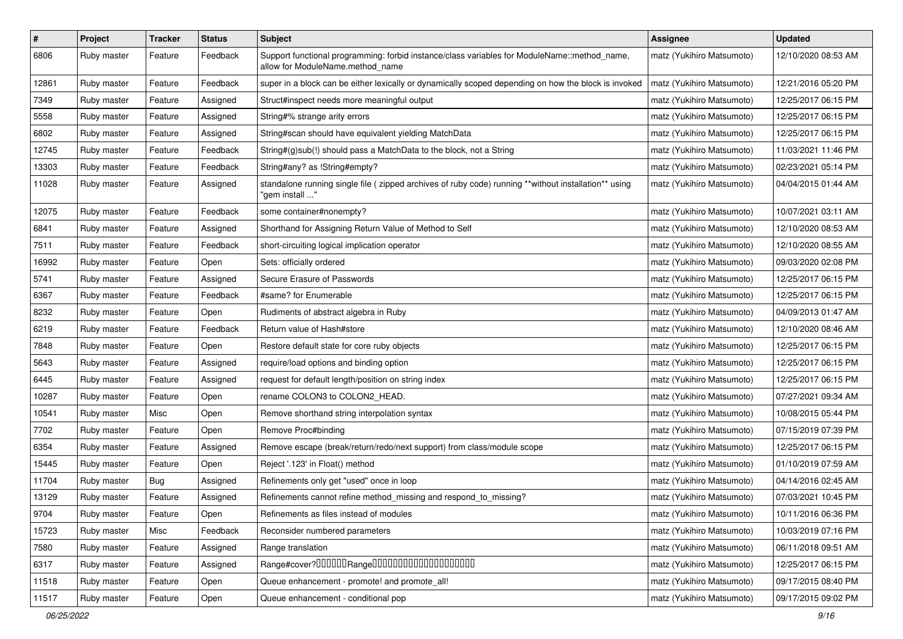| $\#$  | Project     | Tracker    | <b>Status</b> | <b>Subject</b>                                                                                                                   | <b>Assignee</b>           | <b>Updated</b>      |
|-------|-------------|------------|---------------|----------------------------------------------------------------------------------------------------------------------------------|---------------------------|---------------------|
| 6806  | Ruby master | Feature    | Feedback      | Support functional programming: forbid instance/class variables for ModuleName::method_name,<br>allow for ModuleName.method_name | matz (Yukihiro Matsumoto) | 12/10/2020 08:53 AM |
| 12861 | Ruby master | Feature    | Feedback      | super in a block can be either lexically or dynamically scoped depending on how the block is invoked                             | matz (Yukihiro Matsumoto) | 12/21/2016 05:20 PM |
| 7349  | Ruby master | Feature    | Assigned      | Struct#inspect needs more meaningful output                                                                                      | matz (Yukihiro Matsumoto) | 12/25/2017 06:15 PM |
| 5558  | Ruby master | Feature    | Assigned      | String#% strange arity errors                                                                                                    | matz (Yukihiro Matsumoto) | 12/25/2017 06:15 PM |
| 6802  | Ruby master | Feature    | Assigned      | String#scan should have equivalent yielding MatchData                                                                            | matz (Yukihiro Matsumoto) | 12/25/2017 06:15 PM |
| 12745 | Ruby master | Feature    | Feedback      | String#(g)sub(!) should pass a MatchData to the block, not a String                                                              | matz (Yukihiro Matsumoto) | 11/03/2021 11:46 PM |
| 13303 | Ruby master | Feature    | Feedback      | String#any? as !String#empty?                                                                                                    | matz (Yukihiro Matsumoto) | 02/23/2021 05:14 PM |
| 11028 | Ruby master | Feature    | Assigned      | standalone running single file ( zipped archives of ruby code) running **without installation** using<br>" gem install'          | matz (Yukihiro Matsumoto) | 04/04/2015 01:44 AM |
| 12075 | Ruby master | Feature    | Feedback      | some container#nonempty?                                                                                                         | matz (Yukihiro Matsumoto) | 10/07/2021 03:11 AM |
| 6841  | Ruby master | Feature    | Assigned      | Shorthand for Assigning Return Value of Method to Self                                                                           | matz (Yukihiro Matsumoto) | 12/10/2020 08:53 AM |
| 7511  | Ruby master | Feature    | Feedback      | short-circuiting logical implication operator                                                                                    | matz (Yukihiro Matsumoto) | 12/10/2020 08:55 AM |
| 16992 | Ruby master | Feature    | Open          | Sets: officially ordered                                                                                                         | matz (Yukihiro Matsumoto) | 09/03/2020 02:08 PM |
| 5741  | Ruby master | Feature    | Assigned      | Secure Erasure of Passwords                                                                                                      | matz (Yukihiro Matsumoto) | 12/25/2017 06:15 PM |
| 6367  | Ruby master | Feature    | Feedback      | #same? for Enumerable                                                                                                            | matz (Yukihiro Matsumoto) | 12/25/2017 06:15 PM |
| 8232  | Ruby master | Feature    | Open          | Rudiments of abstract algebra in Ruby                                                                                            | matz (Yukihiro Matsumoto) | 04/09/2013 01:47 AM |
| 6219  | Ruby master | Feature    | Feedback      | Return value of Hash#store                                                                                                       | matz (Yukihiro Matsumoto) | 12/10/2020 08:46 AM |
| 7848  | Ruby master | Feature    | Open          | Restore default state for core ruby objects                                                                                      | matz (Yukihiro Matsumoto) | 12/25/2017 06:15 PM |
| 5643  | Ruby master | Feature    | Assigned      | require/load options and binding option                                                                                          | matz (Yukihiro Matsumoto) | 12/25/2017 06:15 PM |
| 6445  | Ruby master | Feature    | Assigned      | request for default length/position on string index                                                                              | matz (Yukihiro Matsumoto) | 12/25/2017 06:15 PM |
| 10287 | Ruby master | Feature    | Open          | rename COLON3 to COLON2_HEAD.                                                                                                    | matz (Yukihiro Matsumoto) | 07/27/2021 09:34 AM |
| 10541 | Ruby master | Misc       | Open          | Remove shorthand string interpolation syntax                                                                                     | matz (Yukihiro Matsumoto) | 10/08/2015 05:44 PM |
| 7702  | Ruby master | Feature    | Open          | Remove Proc#binding                                                                                                              | matz (Yukihiro Matsumoto) | 07/15/2019 07:39 PM |
| 6354  | Ruby master | Feature    | Assigned      | Remove escape (break/return/redo/next support) from class/module scope                                                           | matz (Yukihiro Matsumoto) | 12/25/2017 06:15 PM |
| 15445 | Ruby master | Feature    | Open          | Reject '.123' in Float() method                                                                                                  | matz (Yukihiro Matsumoto) | 01/10/2019 07:59 AM |
| 11704 | Ruby master | <b>Bug</b> | Assigned      | Refinements only get "used" once in loop                                                                                         | matz (Yukihiro Matsumoto) | 04/14/2016 02:45 AM |
| 13129 | Ruby master | Feature    | Assigned      | Refinements cannot refine method_missing and respond_to_missing?                                                                 | matz (Yukihiro Matsumoto) | 07/03/2021 10:45 PM |
| 9704  | Ruby master | Feature    | Open          | Refinements as files instead of modules                                                                                          | matz (Yukihiro Matsumoto) | 10/11/2016 06:36 PM |
| 15723 | Ruby master | Misc       | Feedback      | Reconsider numbered parameters                                                                                                   | matz (Yukihiro Matsumoto) | 10/03/2019 07:16 PM |
| 7580  | Ruby master | Feature    | Assigned      | Range translation                                                                                                                | matz (Yukihiro Matsumoto) | 06/11/2018 09:51 AM |
| 6317  | Ruby master | Feature    | Assigned      |                                                                                                                                  | matz (Yukihiro Matsumoto) | 12/25/2017 06:15 PM |
| 11518 | Ruby master | Feature    | Open          | Queue enhancement - promote! and promote_all!                                                                                    | matz (Yukihiro Matsumoto) | 09/17/2015 08:40 PM |
| 11517 | Ruby master | Feature    | Open          | Queue enhancement - conditional pop                                                                                              | matz (Yukihiro Matsumoto) | 09/17/2015 09:02 PM |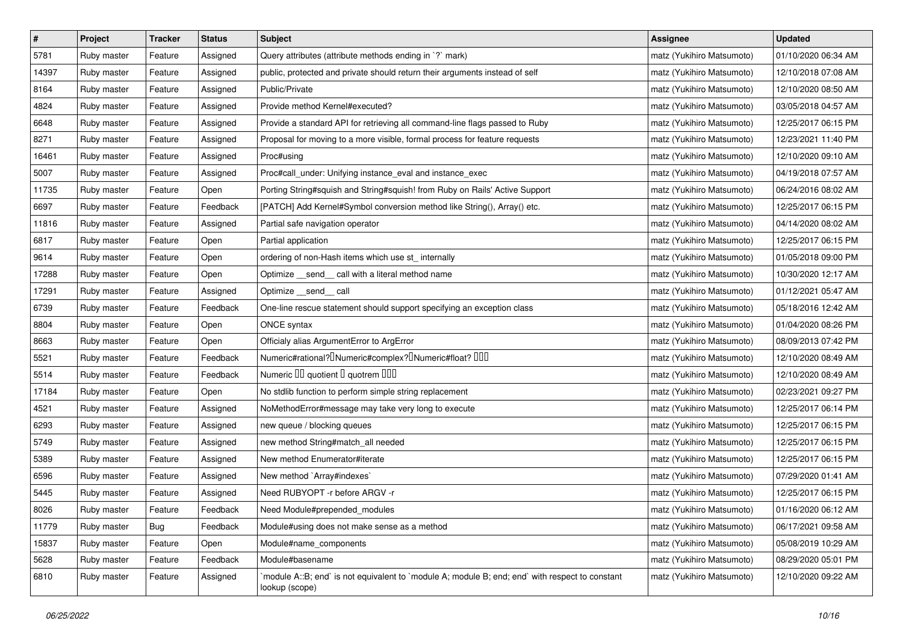| $\pmb{\#}$ | Project     | <b>Tracker</b> | <b>Status</b> | <b>Subject</b>                                                                                                   | Assignee                  | <b>Updated</b>      |
|------------|-------------|----------------|---------------|------------------------------------------------------------------------------------------------------------------|---------------------------|---------------------|
| 5781       | Ruby master | Feature        | Assigned      | Query attributes (attribute methods ending in `?` mark)                                                          | matz (Yukihiro Matsumoto) | 01/10/2020 06:34 AM |
| 14397      | Ruby master | Feature        | Assigned      | public, protected and private should return their arguments instead of self                                      | matz (Yukihiro Matsumoto) | 12/10/2018 07:08 AM |
| 8164       | Ruby master | Feature        | Assigned      | Public/Private                                                                                                   | matz (Yukihiro Matsumoto) | 12/10/2020 08:50 AM |
| 4824       | Ruby master | Feature        | Assigned      | Provide method Kernel#executed?                                                                                  | matz (Yukihiro Matsumoto) | 03/05/2018 04:57 AM |
| 6648       | Ruby master | Feature        | Assigned      | Provide a standard API for retrieving all command-line flags passed to Ruby                                      | matz (Yukihiro Matsumoto) | 12/25/2017 06:15 PM |
| 8271       | Ruby master | Feature        | Assigned      | Proposal for moving to a more visible, formal process for feature requests                                       | matz (Yukihiro Matsumoto) | 12/23/2021 11:40 PM |
| 16461      | Ruby master | Feature        | Assigned      | Proc#using                                                                                                       | matz (Yukihiro Matsumoto) | 12/10/2020 09:10 AM |
| 5007       | Ruby master | Feature        | Assigned      | Proc#call_under: Unifying instance_eval and instance_exec                                                        | matz (Yukihiro Matsumoto) | 04/19/2018 07:57 AM |
| 11735      | Ruby master | Feature        | Open          | Porting String#squish and String#squish! from Ruby on Rails' Active Support                                      | matz (Yukihiro Matsumoto) | 06/24/2016 08:02 AM |
| 6697       | Ruby master | Feature        | Feedback      | [PATCH] Add Kernel#Symbol conversion method like String(), Array() etc.                                          | matz (Yukihiro Matsumoto) | 12/25/2017 06:15 PM |
| 11816      | Ruby master | Feature        | Assigned      | Partial safe navigation operator                                                                                 | matz (Yukihiro Matsumoto) | 04/14/2020 08:02 AM |
| 6817       | Ruby master | Feature        | Open          | Partial application                                                                                              | matz (Yukihiro Matsumoto) | 12/25/2017 06:15 PM |
| 9614       | Ruby master | Feature        | Open          | ordering of non-Hash items which use st_ internally                                                              | matz (Yukihiro Matsumoto) | 01/05/2018 09:00 PM |
| 17288      | Ruby master | Feature        | Open          | Optimize _send_ call with a literal method name                                                                  | matz (Yukihiro Matsumoto) | 10/30/2020 12:17 AM |
| 17291      | Ruby master | Feature        | Assigned      | Optimize send call                                                                                               | matz (Yukihiro Matsumoto) | 01/12/2021 05:47 AM |
| 6739       | Ruby master | Feature        | Feedback      | One-line rescue statement should support specifying an exception class                                           | matz (Yukihiro Matsumoto) | 05/18/2016 12:42 AM |
| 8804       | Ruby master | Feature        | Open          | ONCE syntax                                                                                                      | matz (Yukihiro Matsumoto) | 01/04/2020 08:26 PM |
| 8663       | Ruby master | Feature        | Open          | Officialy alias ArgumentError to ArgError                                                                        | matz (Yukihiro Matsumoto) | 08/09/2013 07:42 PM |
| 5521       | Ruby master | Feature        | Feedback      | Numeric#rational? <sup>[]</sup> Numeric#complex? <sup>[]</sup> Numeric#float? <sup>[10]</sup>                    | matz (Yukihiro Matsumoto) | 12/10/2020 08:49 AM |
| 5514       | Ruby master | Feature        | Feedback      | Numeric III quotient II quotrem IIII                                                                             | matz (Yukihiro Matsumoto) | 12/10/2020 08:49 AM |
| 17184      | Ruby master | Feature        | Open          | No stdlib function to perform simple string replacement                                                          | matz (Yukihiro Matsumoto) | 02/23/2021 09:27 PM |
| 4521       | Ruby master | Feature        | Assigned      | NoMethodError#message may take very long to execute                                                              | matz (Yukihiro Matsumoto) | 12/25/2017 06:14 PM |
| 6293       | Ruby master | Feature        | Assigned      | new queue / blocking queues                                                                                      | matz (Yukihiro Matsumoto) | 12/25/2017 06:15 PM |
| 5749       | Ruby master | Feature        | Assigned      | new method String#match_all needed                                                                               | matz (Yukihiro Matsumoto) | 12/25/2017 06:15 PM |
| 5389       | Ruby master | Feature        | Assigned      | New method Enumerator#iterate                                                                                    | matz (Yukihiro Matsumoto) | 12/25/2017 06:15 PM |
| 6596       | Ruby master | Feature        | Assigned      | New method `Array#indexes`                                                                                       | matz (Yukihiro Matsumoto) | 07/29/2020 01:41 AM |
| 5445       | Ruby master | Feature        | Assigned      | Need RUBYOPT -r before ARGV -r                                                                                   | matz (Yukihiro Matsumoto) | 12/25/2017 06:15 PM |
| 8026       | Ruby master | Feature        | Feedback      | Need Module#prepended_modules                                                                                    | matz (Yukihiro Matsumoto) | 01/16/2020 06:12 AM |
| 11779      | Ruby master | Bug            | Feedback      | Module#using does not make sense as a method                                                                     | matz (Yukihiro Matsumoto) | 06/17/2021 09:58 AM |
| 15837      | Ruby master | Feature        | Open          | Module#name_components                                                                                           | matz (Yukihiro Matsumoto) | 05/08/2019 10:29 AM |
| 5628       | Ruby master | Feature        | Feedback      | Module#basename                                                                                                  | matz (Yukihiro Matsumoto) | 08/29/2020 05:01 PM |
| 6810       | Ruby master | Feature        | Assigned      | module A::B; end` is not equivalent to `module A; module B; end; end` with respect to constant<br>lookup (scope) | matz (Yukihiro Matsumoto) | 12/10/2020 09:22 AM |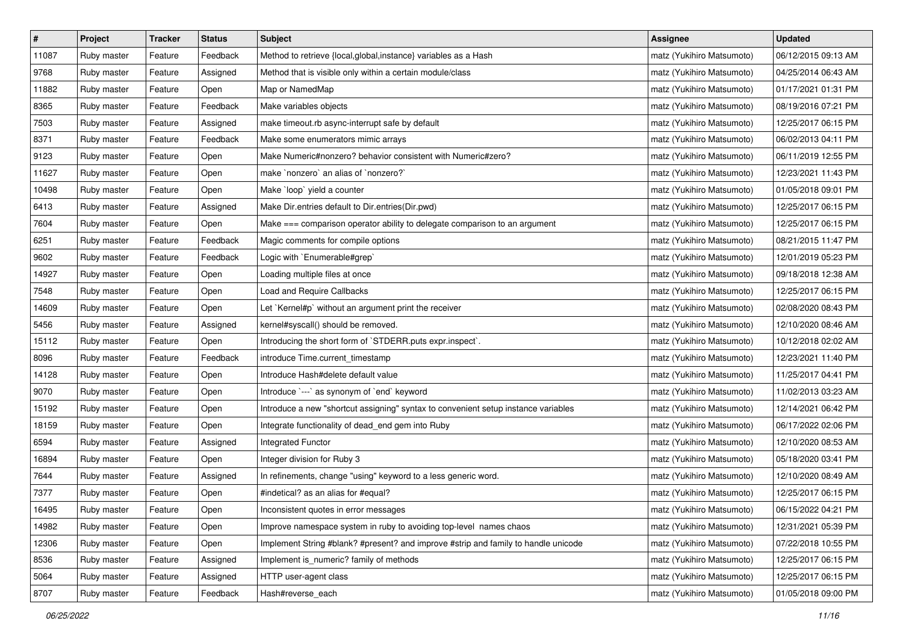| $\vert$ # | Project     | <b>Tracker</b> | <b>Status</b> | Subject                                                                            | <b>Assignee</b>           | <b>Updated</b>      |
|-----------|-------------|----------------|---------------|------------------------------------------------------------------------------------|---------------------------|---------------------|
| 11087     | Ruby master | Feature        | Feedback      | Method to retrieve {local, global, instance} variables as a Hash                   | matz (Yukihiro Matsumoto) | 06/12/2015 09:13 AM |
| 9768      | Ruby master | Feature        | Assigned      | Method that is visible only within a certain module/class                          | matz (Yukihiro Matsumoto) | 04/25/2014 06:43 AM |
| 11882     | Ruby master | Feature        | Open          | Map or NamedMap                                                                    | matz (Yukihiro Matsumoto) | 01/17/2021 01:31 PM |
| 8365      | Ruby master | Feature        | Feedback      | Make variables objects                                                             | matz (Yukihiro Matsumoto) | 08/19/2016 07:21 PM |
| 7503      | Ruby master | Feature        | Assigned      | make timeout.rb async-interrupt safe by default                                    | matz (Yukihiro Matsumoto) | 12/25/2017 06:15 PM |
| 8371      | Ruby master | Feature        | Feedback      | Make some enumerators mimic arrays                                                 | matz (Yukihiro Matsumoto) | 06/02/2013 04:11 PM |
| 9123      | Ruby master | Feature        | Open          | Make Numeric#nonzero? behavior consistent with Numeric#zero?                       | matz (Yukihiro Matsumoto) | 06/11/2019 12:55 PM |
| 11627     | Ruby master | Feature        | Open          | make `nonzero` an alias of `nonzero?`                                              | matz (Yukihiro Matsumoto) | 12/23/2021 11:43 PM |
| 10498     | Ruby master | Feature        | Open          | Make `loop` yield a counter                                                        | matz (Yukihiro Matsumoto) | 01/05/2018 09:01 PM |
| 6413      | Ruby master | Feature        | Assigned      | Make Dir.entries default to Dir.entries(Dir.pwd)                                   | matz (Yukihiro Matsumoto) | 12/25/2017 06:15 PM |
| 7604      | Ruby master | Feature        | Open          | Make === comparison operator ability to delegate comparison to an argument         | matz (Yukihiro Matsumoto) | 12/25/2017 06:15 PM |
| 6251      | Ruby master | Feature        | Feedback      | Magic comments for compile options                                                 | matz (Yukihiro Matsumoto) | 08/21/2015 11:47 PM |
| 9602      | Ruby master | Feature        | Feedback      | Logic with `Enumerable#grep`                                                       | matz (Yukihiro Matsumoto) | 12/01/2019 05:23 PM |
| 14927     | Ruby master | Feature        | Open          | Loading multiple files at once                                                     | matz (Yukihiro Matsumoto) | 09/18/2018 12:38 AM |
| 7548      | Ruby master | Feature        | Open          | Load and Require Callbacks                                                         | matz (Yukihiro Matsumoto) | 12/25/2017 06:15 PM |
| 14609     | Ruby master | Feature        | Open          | Let `Kernel#p` without an argument print the receiver                              | matz (Yukihiro Matsumoto) | 02/08/2020 08:43 PM |
| 5456      | Ruby master | Feature        | Assigned      | kernel#syscall() should be removed.                                                | matz (Yukihiro Matsumoto) | 12/10/2020 08:46 AM |
| 15112     | Ruby master | Feature        | Open          | Introducing the short form of `STDERR.puts expr.inspect`.                          | matz (Yukihiro Matsumoto) | 10/12/2018 02:02 AM |
| 8096      | Ruby master | Feature        | Feedback      | introduce Time.current_timestamp                                                   | matz (Yukihiro Matsumoto) | 12/23/2021 11:40 PM |
| 14128     | Ruby master | Feature        | Open          | Introduce Hash#delete default value                                                | matz (Yukihiro Matsumoto) | 11/25/2017 04:41 PM |
| 9070      | Ruby master | Feature        | Open          | Introduce `---` as synonym of `end` keyword                                        | matz (Yukihiro Matsumoto) | 11/02/2013 03:23 AM |
| 15192     | Ruby master | Feature        | Open          | Introduce a new "shortcut assigning" syntax to convenient setup instance variables | matz (Yukihiro Matsumoto) | 12/14/2021 06:42 PM |
| 18159     | Ruby master | Feature        | Open          | Integrate functionality of dead_end gem into Ruby                                  | matz (Yukihiro Matsumoto) | 06/17/2022 02:06 PM |
| 6594      | Ruby master | Feature        | Assigned      | Integrated Functor                                                                 | matz (Yukihiro Matsumoto) | 12/10/2020 08:53 AM |
| 16894     | Ruby master | Feature        | Open          | Integer division for Ruby 3                                                        | matz (Yukihiro Matsumoto) | 05/18/2020 03:41 PM |
| 7644      | Ruby master | Feature        | Assigned      | In refinements, change "using" keyword to a less generic word.                     | matz (Yukihiro Matsumoto) | 12/10/2020 08:49 AM |
| 7377      | Ruby master | Feature        | Open          | #indetical? as an alias for #equal?                                                | matz (Yukihiro Matsumoto) | 12/25/2017 06:15 PM |
| 16495     | Ruby master | Feature        | Open          | Inconsistent quotes in error messages                                              | matz (Yukihiro Matsumoto) | 06/15/2022 04:21 PM |
| 14982     | Ruby master | Feature        | Open          | Improve namespace system in ruby to avoiding top-level names chaos                 | matz (Yukihiro Matsumoto) | 12/31/2021 05:39 PM |
| 12306     | Ruby master | Feature        | Open          | Implement String #blank? #present? and improve #strip and family to handle unicode | matz (Yukihiro Matsumoto) | 07/22/2018 10:55 PM |
| 8536      | Ruby master | Feature        | Assigned      | Implement is_numeric? family of methods                                            | matz (Yukihiro Matsumoto) | 12/25/2017 06:15 PM |
| 5064      | Ruby master | Feature        | Assigned      | HTTP user-agent class                                                              | matz (Yukihiro Matsumoto) | 12/25/2017 06:15 PM |
| 8707      | Ruby master | Feature        | Feedback      | Hash#reverse_each                                                                  | matz (Yukihiro Matsumoto) | 01/05/2018 09:00 PM |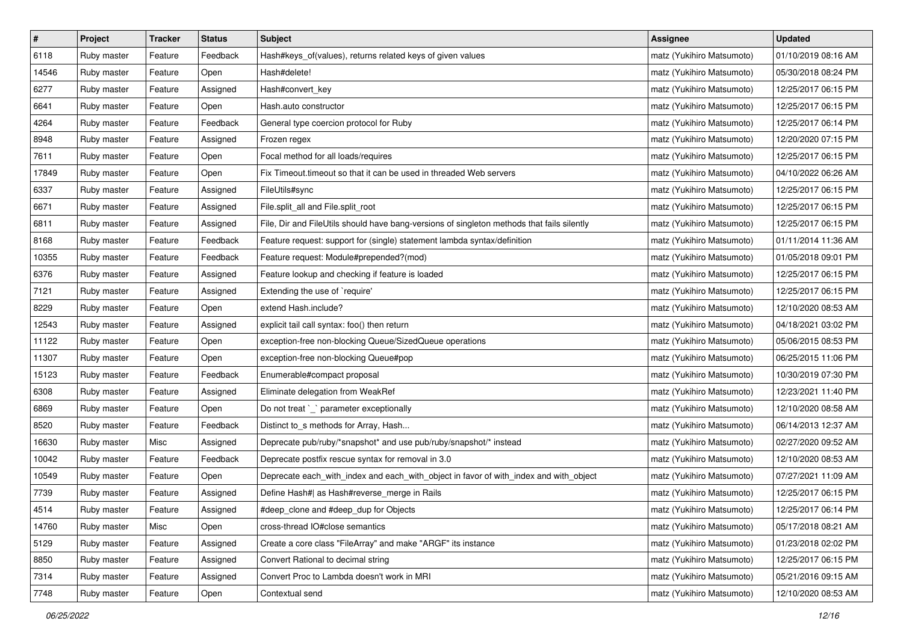| $\pmb{\#}$ | Project     | <b>Tracker</b> | <b>Status</b> | Subject                                                                                    | <b>Assignee</b>           | <b>Updated</b>      |
|------------|-------------|----------------|---------------|--------------------------------------------------------------------------------------------|---------------------------|---------------------|
| 6118       | Ruby master | Feature        | Feedback      | Hash#keys_of(values), returns related keys of given values                                 | matz (Yukihiro Matsumoto) | 01/10/2019 08:16 AM |
| 14546      | Ruby master | Feature        | Open          | Hash#delete!                                                                               | matz (Yukihiro Matsumoto) | 05/30/2018 08:24 PM |
| 6277       | Ruby master | Feature        | Assigned      | Hash#convert_key                                                                           | matz (Yukihiro Matsumoto) | 12/25/2017 06:15 PM |
| 6641       | Ruby master | Feature        | Open          | Hash.auto constructor                                                                      | matz (Yukihiro Matsumoto) | 12/25/2017 06:15 PM |
| 4264       | Ruby master | Feature        | Feedback      | General type coercion protocol for Ruby                                                    | matz (Yukihiro Matsumoto) | 12/25/2017 06:14 PM |
| 8948       | Ruby master | Feature        | Assigned      | Frozen regex                                                                               | matz (Yukihiro Matsumoto) | 12/20/2020 07:15 PM |
| 7611       | Ruby master | Feature        | Open          | Focal method for all loads/requires                                                        | matz (Yukihiro Matsumoto) | 12/25/2017 06:15 PM |
| 17849      | Ruby master | Feature        | Open          | Fix Timeout timeout so that it can be used in threaded Web servers                         | matz (Yukihiro Matsumoto) | 04/10/2022 06:26 AM |
| 6337       | Ruby master | Feature        | Assigned      | FileUtils#sync                                                                             | matz (Yukihiro Matsumoto) | 12/25/2017 06:15 PM |
| 6671       | Ruby master | Feature        | Assigned      | File.split_all and File.split_root                                                         | matz (Yukihiro Matsumoto) | 12/25/2017 06:15 PM |
| 6811       | Ruby master | Feature        | Assigned      | File, Dir and FileUtils should have bang-versions of singleton methods that fails silently | matz (Yukihiro Matsumoto) | 12/25/2017 06:15 PM |
| 8168       | Ruby master | Feature        | Feedback      | Feature request: support for (single) statement lambda syntax/definition                   | matz (Yukihiro Matsumoto) | 01/11/2014 11:36 AM |
| 10355      | Ruby master | Feature        | Feedback      | Feature request: Module#prepended?(mod)                                                    | matz (Yukihiro Matsumoto) | 01/05/2018 09:01 PM |
| 6376       | Ruby master | Feature        | Assigned      | Feature lookup and checking if feature is loaded                                           | matz (Yukihiro Matsumoto) | 12/25/2017 06:15 PM |
| 7121       | Ruby master | Feature        | Assigned      | Extending the use of `require'                                                             | matz (Yukihiro Matsumoto) | 12/25/2017 06:15 PM |
| 8229       | Ruby master | Feature        | Open          | extend Hash.include?                                                                       | matz (Yukihiro Matsumoto) | 12/10/2020 08:53 AM |
| 12543      | Ruby master | Feature        | Assigned      | explicit tail call syntax: foo() then return                                               | matz (Yukihiro Matsumoto) | 04/18/2021 03:02 PM |
| 11122      | Ruby master | Feature        | Open          | exception-free non-blocking Queue/SizedQueue operations                                    | matz (Yukihiro Matsumoto) | 05/06/2015 08:53 PM |
| 11307      | Ruby master | Feature        | Open          | exception-free non-blocking Queue#pop                                                      | matz (Yukihiro Matsumoto) | 06/25/2015 11:06 PM |
| 15123      | Ruby master | Feature        | Feedback      | Enumerable#compact proposal                                                                | matz (Yukihiro Matsumoto) | 10/30/2019 07:30 PM |
| 6308       | Ruby master | Feature        | Assigned      | Eliminate delegation from WeakRef                                                          | matz (Yukihiro Matsumoto) | 12/23/2021 11:40 PM |
| 6869       | Ruby master | Feature        | Open          | Do not treat `_` parameter exceptionally                                                   | matz (Yukihiro Matsumoto) | 12/10/2020 08:58 AM |
| 8520       | Ruby master | Feature        | Feedback      | Distinct to_s methods for Array, Hash                                                      | matz (Yukihiro Matsumoto) | 06/14/2013 12:37 AM |
| 16630      | Ruby master | Misc           | Assigned      | Deprecate pub/ruby/*snapshot* and use pub/ruby/snapshot/* instead                          | matz (Yukihiro Matsumoto) | 02/27/2020 09:52 AM |
| 10042      | Ruby master | Feature        | Feedback      | Deprecate postfix rescue syntax for removal in 3.0                                         | matz (Yukihiro Matsumoto) | 12/10/2020 08:53 AM |
| 10549      | Ruby master | Feature        | Open          | Deprecate each_with_index and each_with_object in favor of with_index and with_object      | matz (Yukihiro Matsumoto) | 07/27/2021 11:09 AM |
| 7739       | Ruby master | Feature        | Assigned      | Define Hash#  as Hash#reverse_merge in Rails                                               | matz (Yukihiro Matsumoto) | 12/25/2017 06:15 PM |
| 4514       | Ruby master | Feature        | Assigned      | #deep_clone and #deep_dup for Objects                                                      | matz (Yukihiro Matsumoto) | 12/25/2017 06:14 PM |
| 14760      | Ruby master | Misc           | Open          | cross-thread IO#close semantics                                                            | matz (Yukihiro Matsumoto) | 05/17/2018 08:21 AM |
| 5129       | Ruby master | Feature        | Assigned      | Create a core class "FileArray" and make "ARGF" its instance                               | matz (Yukihiro Matsumoto) | 01/23/2018 02:02 PM |
| 8850       | Ruby master | Feature        | Assigned      | Convert Rational to decimal string                                                         | matz (Yukihiro Matsumoto) | 12/25/2017 06:15 PM |
| 7314       | Ruby master | Feature        | Assigned      | Convert Proc to Lambda doesn't work in MRI                                                 | matz (Yukihiro Matsumoto) | 05/21/2016 09:15 AM |
| 7748       | Ruby master | Feature        | Open          | Contextual send                                                                            | matz (Yukihiro Matsumoto) | 12/10/2020 08:53 AM |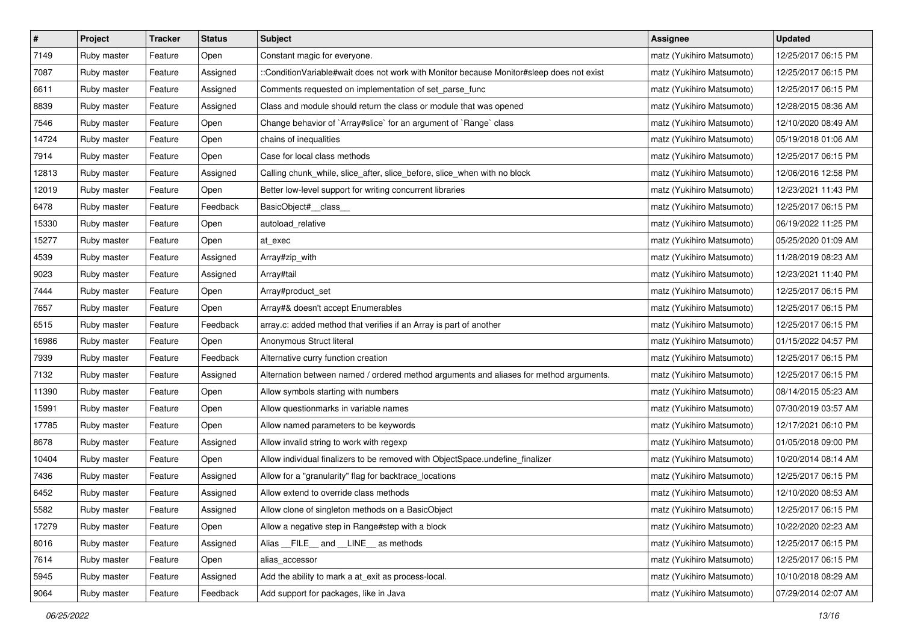| $\pmb{\#}$ | Project     | <b>Tracker</b> | <b>Status</b> | Subject                                                                                  | <b>Assignee</b>           | <b>Updated</b>      |
|------------|-------------|----------------|---------------|------------------------------------------------------------------------------------------|---------------------------|---------------------|
| 7149       | Ruby master | Feature        | Open          | Constant magic for everyone.                                                             | matz (Yukihiro Matsumoto) | 12/25/2017 06:15 PM |
| 7087       | Ruby master | Feature        | Assigned      | ::ConditionVariable#wait does not work with Monitor because Monitor#sleep does not exist | matz (Yukihiro Matsumoto) | 12/25/2017 06:15 PM |
| 6611       | Ruby master | Feature        | Assigned      | Comments requested on implementation of set_parse_func                                   | matz (Yukihiro Matsumoto) | 12/25/2017 06:15 PM |
| 8839       | Ruby master | Feature        | Assigned      | Class and module should return the class or module that was opened                       | matz (Yukihiro Matsumoto) | 12/28/2015 08:36 AM |
| 7546       | Ruby master | Feature        | Open          | Change behavior of `Array#slice` for an argument of `Range` class                        | matz (Yukihiro Matsumoto) | 12/10/2020 08:49 AM |
| 14724      | Ruby master | Feature        | Open          | chains of inequalities                                                                   | matz (Yukihiro Matsumoto) | 05/19/2018 01:06 AM |
| 7914       | Ruby master | Feature        | Open          | Case for local class methods                                                             | matz (Yukihiro Matsumoto) | 12/25/2017 06:15 PM |
| 12813      | Ruby master | Feature        | Assigned      | Calling chunk_while, slice_after, slice_before, slice_when with no block                 | matz (Yukihiro Matsumoto) | 12/06/2016 12:58 PM |
| 12019      | Ruby master | Feature        | Open          | Better low-level support for writing concurrent libraries                                | matz (Yukihiro Matsumoto) | 12/23/2021 11:43 PM |
| 6478       | Ruby master | Feature        | Feedback      | BasicObject#_class_                                                                      | matz (Yukihiro Matsumoto) | 12/25/2017 06:15 PM |
| 15330      | Ruby master | Feature        | Open          | autoload_relative                                                                        | matz (Yukihiro Matsumoto) | 06/19/2022 11:25 PM |
| 15277      | Ruby master | Feature        | Open          | at_exec                                                                                  | matz (Yukihiro Matsumoto) | 05/25/2020 01:09 AM |
| 4539       | Ruby master | Feature        | Assigned      | Array#zip_with                                                                           | matz (Yukihiro Matsumoto) | 11/28/2019 08:23 AM |
| 9023       | Ruby master | Feature        | Assigned      | Array#tail                                                                               | matz (Yukihiro Matsumoto) | 12/23/2021 11:40 PM |
| 7444       | Ruby master | Feature        | Open          | Array#product_set                                                                        | matz (Yukihiro Matsumoto) | 12/25/2017 06:15 PM |
| 7657       | Ruby master | Feature        | Open          | Array#& doesn't accept Enumerables                                                       | matz (Yukihiro Matsumoto) | 12/25/2017 06:15 PM |
| 6515       | Ruby master | Feature        | Feedback      | array.c: added method that verifies if an Array is part of another                       | matz (Yukihiro Matsumoto) | 12/25/2017 06:15 PM |
| 16986      | Ruby master | Feature        | Open          | Anonymous Struct literal                                                                 | matz (Yukihiro Matsumoto) | 01/15/2022 04:57 PM |
| 7939       | Ruby master | Feature        | Feedback      | Alternative curry function creation                                                      | matz (Yukihiro Matsumoto) | 12/25/2017 06:15 PM |
| 7132       | Ruby master | Feature        | Assigned      | Alternation between named / ordered method arguments and aliases for method arguments.   | matz (Yukihiro Matsumoto) | 12/25/2017 06:15 PM |
| 11390      | Ruby master | Feature        | Open          | Allow symbols starting with numbers                                                      | matz (Yukihiro Matsumoto) | 08/14/2015 05:23 AM |
| 15991      | Ruby master | Feature        | Open          | Allow questionmarks in variable names                                                    | matz (Yukihiro Matsumoto) | 07/30/2019 03:57 AM |
| 17785      | Ruby master | Feature        | Open          | Allow named parameters to be keywords                                                    | matz (Yukihiro Matsumoto) | 12/17/2021 06:10 PM |
| 8678       | Ruby master | Feature        | Assigned      | Allow invalid string to work with regexp                                                 | matz (Yukihiro Matsumoto) | 01/05/2018 09:00 PM |
| 10404      | Ruby master | Feature        | Open          | Allow individual finalizers to be removed with ObjectSpace.undefine_finalizer            | matz (Yukihiro Matsumoto) | 10/20/2014 08:14 AM |
| 7436       | Ruby master | Feature        | Assigned      | Allow for a "granularity" flag for backtrace_locations                                   | matz (Yukihiro Matsumoto) | 12/25/2017 06:15 PM |
| 6452       | Ruby master | Feature        | Assigned      | Allow extend to override class methods                                                   | matz (Yukihiro Matsumoto) | 12/10/2020 08:53 AM |
| 5582       | Ruby master | Feature        | Assigned      | Allow clone of singleton methods on a BasicObject                                        | matz (Yukihiro Matsumoto) | 12/25/2017 06:15 PM |
| 17279      | Ruby master | Feature        | Open          | Allow a negative step in Range#step with a block                                         | matz (Yukihiro Matsumoto) | 10/22/2020 02:23 AM |
| 8016       | Ruby master | Feature        | Assigned      | Alias FILE and LINE as methods                                                           | matz (Yukihiro Matsumoto) | 12/25/2017 06:15 PM |
| 7614       | Ruby master | Feature        | Open          | alias_accessor                                                                           | matz (Yukihiro Matsumoto) | 12/25/2017 06:15 PM |
| 5945       | Ruby master | Feature        | Assigned      | Add the ability to mark a at_exit as process-local.                                      | matz (Yukihiro Matsumoto) | 10/10/2018 08:29 AM |
| 9064       | Ruby master | Feature        | Feedback      | Add support for packages, like in Java                                                   | matz (Yukihiro Matsumoto) | 07/29/2014 02:07 AM |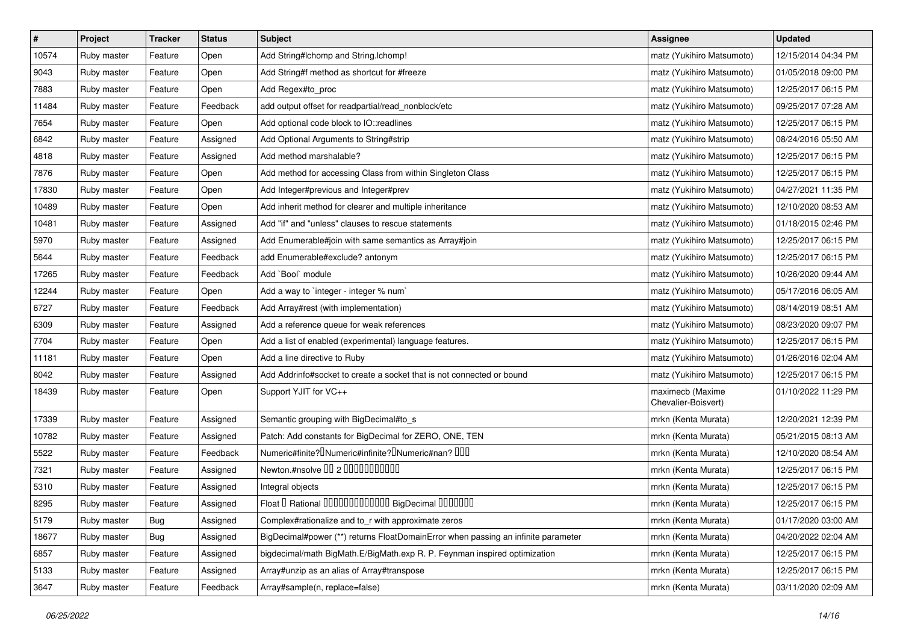| $\pmb{\#}$ | Project     | <b>Tracker</b> | <b>Status</b> | Subject                                                                                    | <b>Assignee</b>                         | <b>Updated</b>      |
|------------|-------------|----------------|---------------|--------------------------------------------------------------------------------------------|-----------------------------------------|---------------------|
| 10574      | Ruby master | Feature        | Open          | Add String#Ichomp and String.Ichomp!                                                       | matz (Yukihiro Matsumoto)               | 12/15/2014 04:34 PM |
| 9043       | Ruby master | Feature        | Open          | Add String#f method as shortcut for #freeze                                                | matz (Yukihiro Matsumoto)               | 01/05/2018 09:00 PM |
| 7883       | Ruby master | Feature        | Open          | Add Regex#to_proc                                                                          | matz (Yukihiro Matsumoto)               | 12/25/2017 06:15 PM |
| 11484      | Ruby master | Feature        | Feedback      | add output offset for readpartial/read_nonblock/etc                                        | matz (Yukihiro Matsumoto)               | 09/25/2017 07:28 AM |
| 7654       | Ruby master | Feature        | Open          | Add optional code block to IO::readlines                                                   | matz (Yukihiro Matsumoto)               | 12/25/2017 06:15 PM |
| 6842       | Ruby master | Feature        | Assigned      | Add Optional Arguments to String#strip                                                     | matz (Yukihiro Matsumoto)               | 08/24/2016 05:50 AM |
| 4818       | Ruby master | Feature        | Assigned      | Add method marshalable?                                                                    | matz (Yukihiro Matsumoto)               | 12/25/2017 06:15 PM |
| 7876       | Ruby master | Feature        | Open          | Add method for accessing Class from within Singleton Class                                 | matz (Yukihiro Matsumoto)               | 12/25/2017 06:15 PM |
| 17830      | Ruby master | Feature        | Open          | Add Integer#previous and Integer#prev                                                      | matz (Yukihiro Matsumoto)               | 04/27/2021 11:35 PM |
| 10489      | Ruby master | Feature        | Open          | Add inherit method for clearer and multiple inheritance                                    | matz (Yukihiro Matsumoto)               | 12/10/2020 08:53 AM |
| 10481      | Ruby master | Feature        | Assigned      | Add "if" and "unless" clauses to rescue statements                                         | matz (Yukihiro Matsumoto)               | 01/18/2015 02:46 PM |
| 5970       | Ruby master | Feature        | Assigned      | Add Enumerable#join with same semantics as Array#join                                      | matz (Yukihiro Matsumoto)               | 12/25/2017 06:15 PM |
| 5644       | Ruby master | Feature        | Feedback      | add Enumerable#exclude? antonym                                                            | matz (Yukihiro Matsumoto)               | 12/25/2017 06:15 PM |
| 17265      | Ruby master | Feature        | Feedback      | Add `Bool` module                                                                          | matz (Yukihiro Matsumoto)               | 10/26/2020 09:44 AM |
| 12244      | Ruby master | Feature        | Open          | Add a way to 'integer - integer % num'                                                     | matz (Yukihiro Matsumoto)               | 05/17/2016 06:05 AM |
| 6727       | Ruby master | Feature        | Feedback      | Add Array#rest (with implementation)                                                       | matz (Yukihiro Matsumoto)               | 08/14/2019 08:51 AM |
| 6309       | Ruby master | Feature        | Assigned      | Add a reference queue for weak references                                                  | matz (Yukihiro Matsumoto)               | 08/23/2020 09:07 PM |
| 7704       | Ruby master | Feature        | Open          | Add a list of enabled (experimental) language features.                                    | matz (Yukihiro Matsumoto)               | 12/25/2017 06:15 PM |
| 11181      | Ruby master | Feature        | Open          | Add a line directive to Ruby                                                               | matz (Yukihiro Matsumoto)               | 01/26/2016 02:04 AM |
| 8042       | Ruby master | Feature        | Assigned      | Add Addrinfo#socket to create a socket that is not connected or bound                      | matz (Yukihiro Matsumoto)               | 12/25/2017 06:15 PM |
| 18439      | Ruby master | Feature        | Open          | Support YJIT for VC++                                                                      | maximecb (Maxime<br>Chevalier-Boisvert) | 01/10/2022 11:29 PM |
| 17339      | Ruby master | Feature        | Assigned      | Semantic grouping with BigDecimal#to_s                                                     | mrkn (Kenta Murata)                     | 12/20/2021 12:39 PM |
| 10782      | Ruby master | Feature        | Assigned      | Patch: Add constants for BigDecimal for ZERO, ONE, TEN                                     | mrkn (Kenta Murata)                     | 05/21/2015 08:13 AM |
| 5522       | Ruby master | Feature        | Feedback      | Numeric#finite? <sup>[]</sup> Numeric#infinite? <sup>[]</sup> Numeric#nan? <sup>[10]</sup> | mrkn (Kenta Murata)                     | 12/10/2020 08:54 AM |
| 7321       | Ruby master | Feature        | Assigned      | Newton.#nsolve 00 2 0000000000                                                             | mrkn (Kenta Murata)                     | 12/25/2017 06:15 PM |
| 5310       | Ruby master | Feature        | Assigned      | Integral objects                                                                           | mrkn (Kenta Murata)                     | 12/25/2017 06:15 PM |
| 8295       | Ruby master | Feature        | Assigned      | Float I Rational 0000000000000 BigDecimal 0000000                                          | mrkn (Kenta Murata)                     | 12/25/2017 06:15 PM |
| 5179       | Ruby master | Bug            | Assigned      | Complex#rationalize and to_r with approximate zeros                                        | mrkn (Kenta Murata)                     | 01/17/2020 03:00 AM |
| 18677      | Ruby master | <b>Bug</b>     | Assigned      | BigDecimal#power (**) returns FloatDomainError when passing an infinite parameter          | mrkn (Kenta Murata)                     | 04/20/2022 02:04 AM |
| 6857       | Ruby master | Feature        | Assigned      | bigdecimal/math BigMath.E/BigMath.exp R. P. Feynman inspired optimization                  | mrkn (Kenta Murata)                     | 12/25/2017 06:15 PM |
| 5133       | Ruby master | Feature        | Assigned      | Array#unzip as an alias of Array#transpose                                                 | mrkn (Kenta Murata)                     | 12/25/2017 06:15 PM |
| 3647       | Ruby master | Feature        | Feedback      | Array#sample(n, replace=false)                                                             | mrkn (Kenta Murata)                     | 03/11/2020 02:09 AM |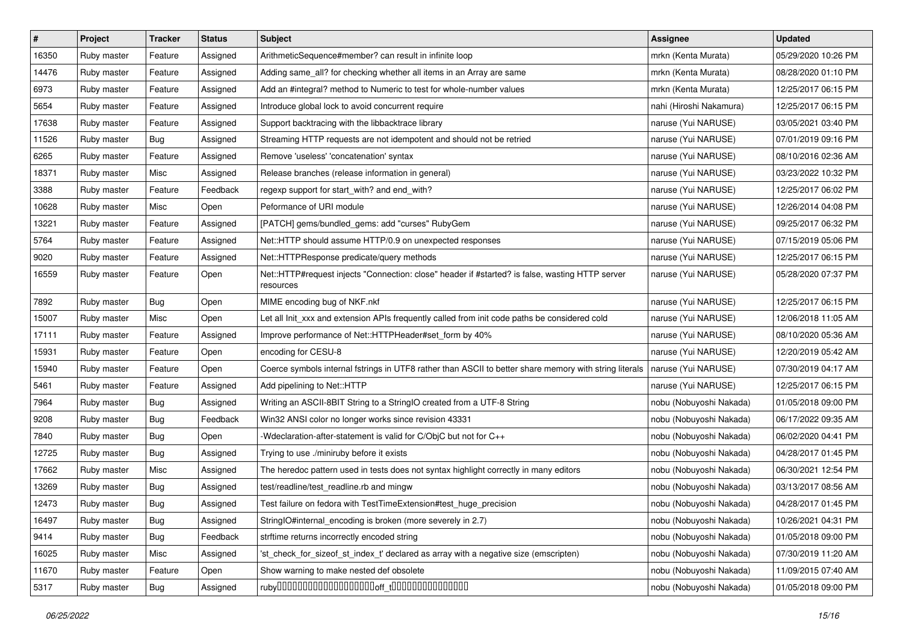| $\pmb{\#}$ | Project     | <b>Tracker</b> | <b>Status</b> | <b>Subject</b>                                                                                               | <b>Assignee</b>         | <b>Updated</b>      |
|------------|-------------|----------------|---------------|--------------------------------------------------------------------------------------------------------------|-------------------------|---------------------|
| 16350      | Ruby master | Feature        | Assigned      | ArithmeticSequence#member? can result in infinite loop                                                       | mrkn (Kenta Murata)     | 05/29/2020 10:26 PM |
| 14476      | Ruby master | Feature        | Assigned      | Adding same_all? for checking whether all items in an Array are same                                         | mrkn (Kenta Murata)     | 08/28/2020 01:10 PM |
| 6973       | Ruby master | Feature        | Assigned      | Add an #integral? method to Numeric to test for whole-number values                                          | mrkn (Kenta Murata)     | 12/25/2017 06:15 PM |
| 5654       | Ruby master | Feature        | Assigned      | Introduce global lock to avoid concurrent require                                                            | nahi (Hiroshi Nakamura) | 12/25/2017 06:15 PM |
| 17638      | Ruby master | Feature        | Assigned      | Support backtracing with the libbacktrace library                                                            | naruse (Yui NARUSE)     | 03/05/2021 03:40 PM |
| 11526      | Ruby master | Bug            | Assigned      | Streaming HTTP requests are not idempotent and should not be retried                                         | naruse (Yui NARUSE)     | 07/01/2019 09:16 PM |
| 6265       | Ruby master | Feature        | Assigned      | Remove 'useless' 'concatenation' syntax                                                                      | naruse (Yui NARUSE)     | 08/10/2016 02:36 AM |
| 18371      | Ruby master | Misc           | Assigned      | Release branches (release information in general)                                                            | naruse (Yui NARUSE)     | 03/23/2022 10:32 PM |
| 3388       | Ruby master | Feature        | Feedback      | regexp support for start_with? and end_with?                                                                 | naruse (Yui NARUSE)     | 12/25/2017 06:02 PM |
| 10628      | Ruby master | Misc           | Open          | Peformance of URI module                                                                                     | naruse (Yui NARUSE)     | 12/26/2014 04:08 PM |
| 13221      | Ruby master | Feature        | Assigned      | [PATCH] gems/bundled_gems: add "curses" RubyGem                                                              | naruse (Yui NARUSE)     | 09/25/2017 06:32 PM |
| 5764       | Ruby master | Feature        | Assigned      | Net::HTTP should assume HTTP/0.9 on unexpected responses                                                     | naruse (Yui NARUSE)     | 07/15/2019 05:06 PM |
| 9020       | Ruby master | Feature        | Assigned      | Net::HTTPResponse predicate/query methods                                                                    | naruse (Yui NARUSE)     | 12/25/2017 06:15 PM |
| 16559      | Ruby master | Feature        | Open          | Net::HTTP#request injects "Connection: close" header if #started? is false, wasting HTTP server<br>resources | naruse (Yui NARUSE)     | 05/28/2020 07:37 PM |
| 7892       | Ruby master | Bug            | Open          | MIME encoding bug of NKF.nkf                                                                                 | naruse (Yui NARUSE)     | 12/25/2017 06:15 PM |
| 15007      | Ruby master | Misc           | Open          | Let all Init_xxx and extension APIs frequently called from init code paths be considered cold                | naruse (Yui NARUSE)     | 12/06/2018 11:05 AM |
| 17111      | Ruby master | Feature        | Assigned      | Improve performance of Net::HTTPHeader#set_form by 40%                                                       | naruse (Yui NARUSE)     | 08/10/2020 05:36 AM |
| 15931      | Ruby master | Feature        | Open          | encoding for CESU-8                                                                                          | naruse (Yui NARUSE)     | 12/20/2019 05:42 AM |
| 15940      | Ruby master | Feature        | Open          | Coerce symbols internal fstrings in UTF8 rather than ASCII to better share memory with string literals       | naruse (Yui NARUSE)     | 07/30/2019 04:17 AM |
| 5461       | Ruby master | Feature        | Assigned      | Add pipelining to Net::HTTP                                                                                  | naruse (Yui NARUSE)     | 12/25/2017 06:15 PM |
| 7964       | Ruby master | Bug            | Assigned      | Writing an ASCII-8BIT String to a StringIO created from a UTF-8 String                                       | nobu (Nobuyoshi Nakada) | 01/05/2018 09:00 PM |
| 9208       | Ruby master | Bug            | Feedback      | Win32 ANSI color no longer works since revision 43331                                                        | nobu (Nobuyoshi Nakada) | 06/17/2022 09:35 AM |
| 7840       | Ruby master | <b>Bug</b>     | Open          | -Wdeclaration-after-statement is valid for C/ObjC but not for C++                                            | nobu (Nobuyoshi Nakada) | 06/02/2020 04:41 PM |
| 12725      | Ruby master | <b>Bug</b>     | Assigned      | Trying to use ./miniruby before it exists                                                                    | nobu (Nobuyoshi Nakada) | 04/28/2017 01:45 PM |
| 17662      | Ruby master | Misc           | Assigned      | The heredoc pattern used in tests does not syntax highlight correctly in many editors                        | nobu (Nobuyoshi Nakada) | 06/30/2021 12:54 PM |
| 13269      | Ruby master | Bug            | Assigned      | test/readline/test readline.rb and mingw                                                                     | nobu (Nobuyoshi Nakada) | 03/13/2017 08:56 AM |
| 12473      | Ruby master | <b>Bug</b>     | Assigned      | Test failure on fedora with TestTimeExtension#test_huge_precision                                            | nobu (Nobuyoshi Nakada) | 04/28/2017 01:45 PM |
| 16497      | Ruby master | <b>Bug</b>     | Assigned      | StringIO#internal_encoding is broken (more severely in 2.7)                                                  | nobu (Nobuyoshi Nakada) | 10/26/2021 04:31 PM |
| 9414       | Ruby master | <b>Bug</b>     | Feedback      | strftime returns incorrectly encoded string                                                                  | nobu (Nobuyoshi Nakada) | 01/05/2018 09:00 PM |
| 16025      | Ruby master | Misc           | Assigned      | 'st_check_for_sizeof_st_index_t' declared as array with a negative size (emscripten)                         | nobu (Nobuyoshi Nakada) | 07/30/2019 11:20 AM |
| 11670      | Ruby master | Feature        | Open          | Show warning to make nested def obsolete                                                                     | nobu (Nobuyoshi Nakada) | 11/09/2015 07:40 AM |
| 5317       | Ruby master | Bug            | Assigned      |                                                                                                              | nobu (Nobuyoshi Nakada) | 01/05/2018 09:00 PM |